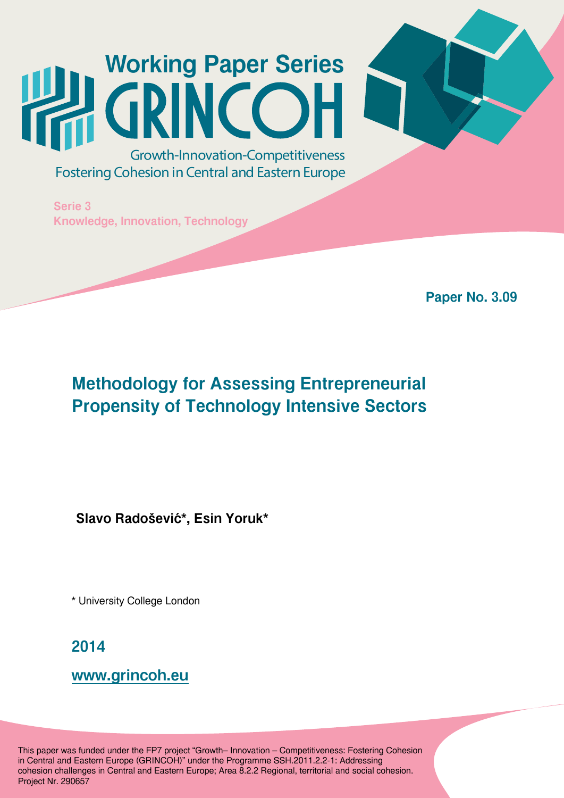# **Working Paper Series** Growth-Innovation-Competitiveness

**Fostering Cohesion in Central and Eastern Europe** 

**Serie 3 Knowledge, Innovation, Technology**

**Paper No. 3.09**

# **Methodology for Assessing Entrepreneurial Propensity of Technology Intensive Sectors**

**Slavo Radošević\*, Esin Yoruk\***

\* University College London

**2014**

**[www.grincoh.eu](file:///C:/Users/Kasia/Documents/EUROREG/GRINCOH/WORKING%20PAPERS/Okładki/www.grincoh.eu)**

This paper was funded under the FP7 project "Growth– Innovation – Competitiveness: Fostering Cohesion in Central and Eastern Europe (GRINCOH)" under the Programme SSH.2011.2.2-1: Addressing cohesion challenges in Central and Eastern Europe; Area 8.2.2 Regional, territorial and social cohesion. Project Nr. 290657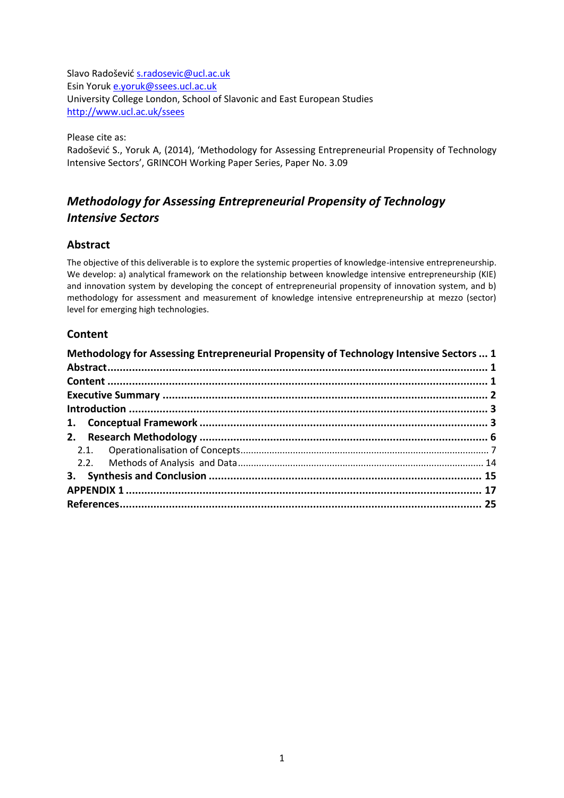Slavo Radošević [s.radosevic@ucl.ac.uk](mailto:s.radosevic@ucl.ac.uk) Esin Yoruk [e.yoruk@ssees.ucl.ac.uk](mailto:e.yoruk@ssees.ucl.ac.uk) University College London, School of Slavonic and East European Studies <http://www.ucl.ac.uk/ssees>

Please cite as:

Radošević S., Yoruk A, (2014), 'Methodology for Assessing Entrepreneurial Propensity of Technology Intensive Sectors', GRINCOH Working Paper Series, Paper No. 3.09

## <span id="page-1-0"></span>*Methodology for Assessing Entrepreneurial Propensity of Technology Intensive Sectors*

#### <span id="page-1-1"></span>**Abstract**

The objective of this deliverable is to explore the systemic properties of knowledge-intensive entrepreneurship. We develop: a) analytical framework on the relationship between knowledge intensive entrepreneurship (KIE) and innovation system by developing the concept of entrepreneurial propensity of innovation system, and b) methodology for assessment and measurement of knowledge intensive entrepreneurship at mezzo (sector) level for emerging high technologies.

#### <span id="page-1-2"></span>**Content**

| Methodology for Assessing Entrepreneurial Propensity of Technology Intensive Sectors  1 |  |
|-----------------------------------------------------------------------------------------|--|
|                                                                                         |  |
|                                                                                         |  |
|                                                                                         |  |
|                                                                                         |  |
|                                                                                         |  |
|                                                                                         |  |
|                                                                                         |  |
|                                                                                         |  |
|                                                                                         |  |
|                                                                                         |  |
|                                                                                         |  |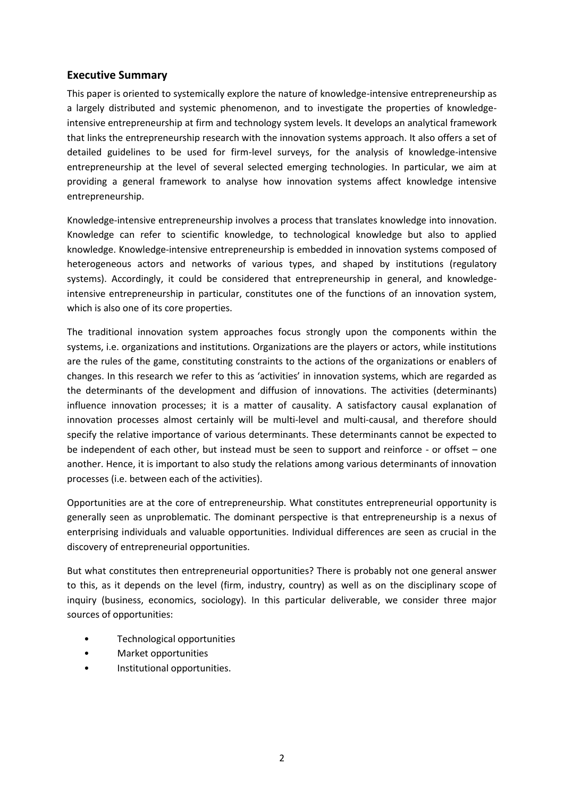#### <span id="page-2-0"></span>**Executive Summary**

This paper is oriented to systemically explore the nature of knowledge-intensive entrepreneurship as a largely distributed and systemic phenomenon, and to investigate the properties of knowledgeintensive entrepreneurship at firm and technology system levels. It develops an analytical framework that links the entrepreneurship research with the innovation systems approach. It also offers a set of detailed guidelines to be used for firm-level surveys, for the analysis of knowledge-intensive entrepreneurship at the level of several selected emerging technologies. In particular, we aim at providing a general framework to analyse how innovation systems affect knowledge intensive entrepreneurship.

Knowledge-intensive entrepreneurship involves a process that translates knowledge into innovation. Knowledge can refer to scientific knowledge, to technological knowledge but also to applied knowledge. Knowledge-intensive entrepreneurship is embedded in innovation systems composed of heterogeneous actors and networks of various types, and shaped by institutions (regulatory systems). Accordingly, it could be considered that entrepreneurship in general, and knowledgeintensive entrepreneurship in particular, constitutes one of the functions of an innovation system, which is also one of its core properties.

The traditional innovation system approaches focus strongly upon the components within the systems, i.e. organizations and institutions. Organizations are the players or actors, while institutions are the rules of the game, constituting constraints to the actions of the organizations or enablers of changes. In this research we refer to this as 'activities' in innovation systems, which are regarded as the determinants of the development and diffusion of innovations. The activities (determinants) influence innovation processes; it is a matter of causality. A satisfactory causal explanation of innovation processes almost certainly will be multi-level and multi-causal, and therefore should specify the relative importance of various determinants. These determinants cannot be expected to be independent of each other, but instead must be seen to support and reinforce - or offset – one another. Hence, it is important to also study the relations among various determinants of innovation processes (i.e. between each of the activities).

Opportunities are at the core of entrepreneurship. What constitutes entrepreneurial opportunity is generally seen as unproblematic. The dominant perspective is that entrepreneurship is a nexus of enterprising individuals and valuable opportunities. Individual differences are seen as crucial in the discovery of entrepreneurial opportunities.

But what constitutes then entrepreneurial opportunities? There is probably not one general answer to this, as it depends on the level (firm, industry, country) as well as on the disciplinary scope of inquiry (business, economics, sociology). In this particular deliverable, we consider three major sources of opportunities:

- Technological opportunities
- Market opportunities
- Institutional opportunities.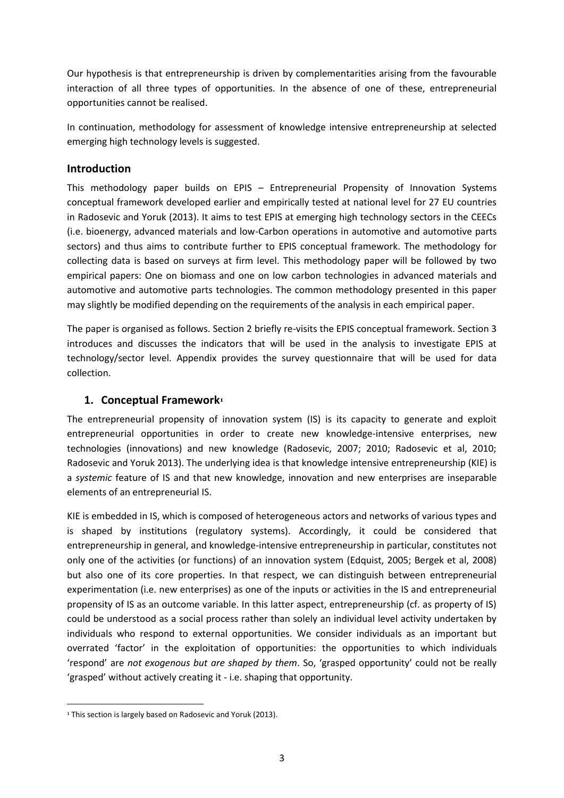Our hypothesis is that entrepreneurship is driven by complementarities arising from the favourable interaction of all three types of opportunities. In the absence of one of these, entrepreneurial opportunities cannot be realised.

In continuation, methodology for assessment of knowledge intensive entrepreneurship at selected emerging high technology levels is suggested.

#### <span id="page-3-0"></span>**Introduction**

This methodology paper builds on EPIS – Entrepreneurial Propensity of Innovation Systems conceptual framework developed earlier and empirically tested at national level for 27 EU countries in Radosevic and Yoruk (2013). It aims to test EPIS at emerging high technology sectors in the CEECs (i.e. bioenergy, advanced materials and low-Carbon operations in automotive and automotive parts sectors) and thus aims to contribute further to EPIS conceptual framework. The methodology for collecting data is based on surveys at firm level. This methodology paper will be followed by two empirical papers: One on biomass and one on low carbon technologies in advanced materials and automotive and automotive parts technologies. The common methodology presented in this paper may slightly be modified depending on the requirements of the analysis in each empirical paper.

The paper is organised as follows. Section 2 briefly re-visits the EPIS conceptual framework. Section 3 introduces and discusses the indicators that will be used in the analysis to investigate EPIS at technology/sector level. Appendix provides the survey questionnaire that will be used for data collection.

#### <span id="page-3-1"></span>**1. Conceptual Framework<sup>1</sup>**

The entrepreneurial propensity of innovation system (IS) is its capacity to generate and exploit entrepreneurial opportunities in order to create new knowledge-intensive enterprises, new technologies (innovations) and new knowledge (Radosevic, 2007; 2010; Radosevic et al, 2010; Radosevic and Yoruk 2013). The underlying idea is that knowledge intensive entrepreneurship (KIE) is a *systemic* feature of IS and that new knowledge, innovation and new enterprises are inseparable elements of an entrepreneurial IS.

KIE is embedded in IS, which is composed of heterogeneous actors and networks of various types and is shaped by institutions (regulatory systems). Accordingly, it could be considered that entrepreneurship in general, and knowledge-intensive entrepreneurship in particular, constitutes not only one of the activities (or functions) of an innovation system (Edquist, 2005; Bergek et al, 2008) but also one of its core properties. In that respect, we can distinguish between entrepreneurial experimentation (i.e. new enterprises) as one of the inputs or activities in the IS and entrepreneurial propensity of IS as an outcome variable. In this latter aspect, entrepreneurship (cf. as property of IS) could be understood as a social process rather than solely an individual level activity undertaken by individuals who respond to external opportunities. We consider individuals as an important but overrated 'factor' in the exploitation of opportunities: the opportunities to which individuals 'respond' are *not exogenous but are shaped by them*. So, 'grasped opportunity' could not be really 'grasped' without actively creating it - i.e. shaping that opportunity.

**.** 

<sup>&</sup>lt;sup>1</sup> This section is largely based on Radosevic and Yoruk (2013).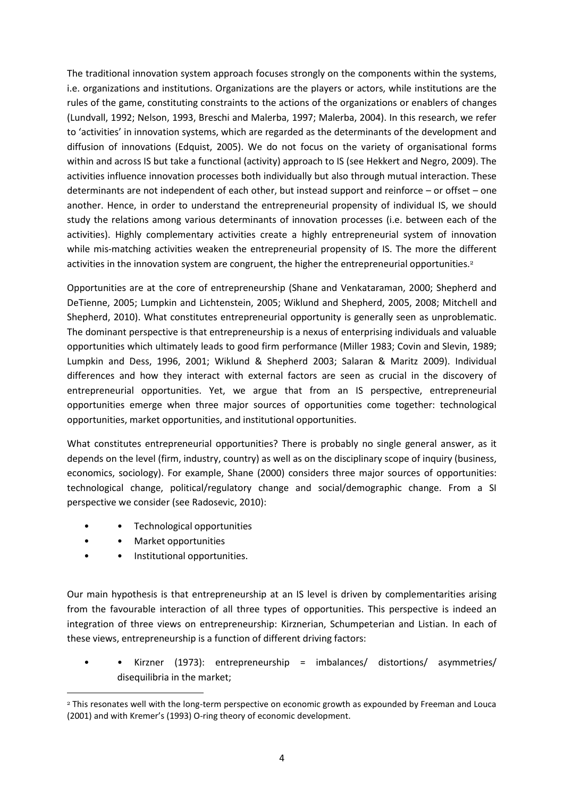The traditional innovation system approach focuses strongly on the components within the systems, i.e. organizations and institutions. Organizations are the players or actors, while institutions are the rules of the game, constituting constraints to the actions of the organizations or enablers of changes (Lundvall, 1992; Nelson, 1993, Breschi and Malerba, 1997; Malerba, 2004). In this research, we refer to 'activities' in innovation systems, which are regarded as the determinants of the development and diffusion of innovations (Edquist, 2005). We do not focus on the variety of organisational forms within and across IS but take a functional (activity) approach to IS (see Hekkert and Negro, 2009). The activities influence innovation processes both individually but also through mutual interaction. These determinants are not independent of each other, but instead support and reinforce – or offset – one another. Hence, in order to understand the entrepreneurial propensity of individual IS, we should study the relations among various determinants of innovation processes (i.e. between each of the activities). Highly complementary activities create a highly entrepreneurial system of innovation while mis-matching activities weaken the entrepreneurial propensity of IS. The more the different activities in the innovation system are congruent, the higher the entrepreneurial opportunities.<sup>2</sup>

Opportunities are at the core of entrepreneurship (Shane and Venkataraman, 2000; Shepherd and DeTienne, 2005; Lumpkin and Lichtenstein, 2005; Wiklund and Shepherd, 2005, 2008; Mitchell and Shepherd, 2010). What constitutes entrepreneurial opportunity is generally seen as unproblematic. The dominant perspective is that entrepreneurship is a nexus of enterprising individuals and valuable opportunities which ultimately leads to good firm performance (Miller 1983; Covin and Slevin, 1989; Lumpkin and Dess, 1996, 2001; Wiklund & Shepherd 2003; Salaran & Maritz 2009). Individual differences and how they interact with external factors are seen as crucial in the discovery of entrepreneurial opportunities. Yet, we argue that from an IS perspective, entrepreneurial opportunities emerge when three major sources of opportunities come together: technological opportunities, market opportunities, and institutional opportunities.

What constitutes entrepreneurial opportunities? There is probably no single general answer, as it depends on the level (firm, industry, country) as well as on the disciplinary scope of inquiry (business, economics, sociology). For example, Shane (2000) considers three major sources of opportunities: technological change, political/regulatory change and social/demographic change. From a SI perspective we consider (see Radosevic, 2010):

- • Technological opportunities
- Market opportunities

**.** 

Institutional opportunities.

Our main hypothesis is that entrepreneurship at an IS level is driven by complementarities arising from the favourable interaction of all three types of opportunities. This perspective is indeed an integration of three views on entrepreneurship: Kirznerian, Schumpeterian and Listian. In each of these views, entrepreneurship is a function of different driving factors:

• • Kirzner (1973): entrepreneurship = imbalances/ distortions/ asymmetries/ disequilibria in the market;

<sup>&</sup>lt;sup>2</sup> This resonates well with the long-term perspective on economic growth as expounded by Freeman and Louca (2001) and with Kremer's (1993) O-ring theory of economic development.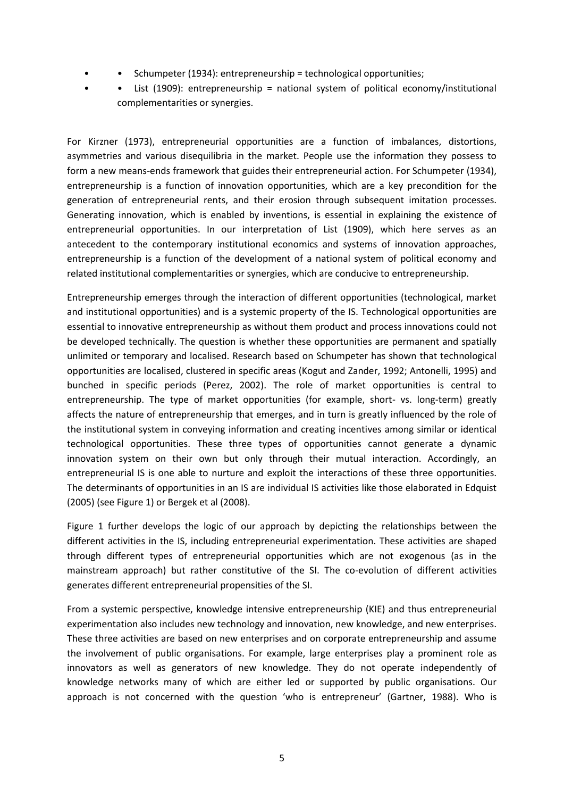- • Schumpeter (1934): entrepreneurship = technological opportunities;
- List (1909): entrepreneurship = national system of political economy/institutional complementarities or synergies.

For Kirzner (1973), entrepreneurial opportunities are a function of imbalances, distortions, asymmetries and various disequilibria in the market. People use the information they possess to form a new means-ends framework that guides their entrepreneurial action. For Schumpeter (1934), entrepreneurship is a function of innovation opportunities, which are a key precondition for the generation of entrepreneurial rents, and their erosion through subsequent imitation processes. Generating innovation, which is enabled by inventions, is essential in explaining the existence of entrepreneurial opportunities. In our interpretation of List (1909), which here serves as an antecedent to the contemporary institutional economics and systems of innovation approaches, entrepreneurship is a function of the development of a national system of political economy and related institutional complementarities or synergies, which are conducive to entrepreneurship.

Entrepreneurship emerges through the interaction of different opportunities (technological, market and institutional opportunities) and is a systemic property of the IS. Technological opportunities are essential to innovative entrepreneurship as without them product and process innovations could not be developed technically. The question is whether these opportunities are permanent and spatially unlimited or temporary and localised. Research based on Schumpeter has shown that technological opportunities are localised, clustered in specific areas (Kogut and Zander, 1992; Antonelli, 1995) and bunched in specific periods (Perez, 2002). The role of market opportunities is central to entrepreneurship. The type of market opportunities (for example, short- vs. long-term) greatly affects the nature of entrepreneurship that emerges, and in turn is greatly influenced by the role of the institutional system in conveying information and creating incentives among similar or identical technological opportunities. These three types of opportunities cannot generate a dynamic innovation system on their own but only through their mutual interaction. Accordingly, an entrepreneurial IS is one able to nurture and exploit the interactions of these three opportunities. The determinants of opportunities in an IS are individual IS activities like those elaborated in Edquist (2005) (see Figure 1) or Bergek et al (2008).

Figure 1 further develops the logic of our approach by depicting the relationships between the different activities in the IS, including entrepreneurial experimentation. These activities are shaped through different types of entrepreneurial opportunities which are not exogenous (as in the mainstream approach) but rather constitutive of the SI. The co-evolution of different activities generates different entrepreneurial propensities of the SI.

From a systemic perspective, knowledge intensive entrepreneurship (KIE) and thus entrepreneurial experimentation also includes new technology and innovation, new knowledge, and new enterprises. These three activities are based on new enterprises and on corporate entrepreneurship and assume the involvement of public organisations. For example, large enterprises play a prominent role as innovators as well as generators of new knowledge. They do not operate independently of knowledge networks many of which are either led or supported by public organisations. Our approach is not concerned with the question 'who is entrepreneur' (Gartner, 1988). Who is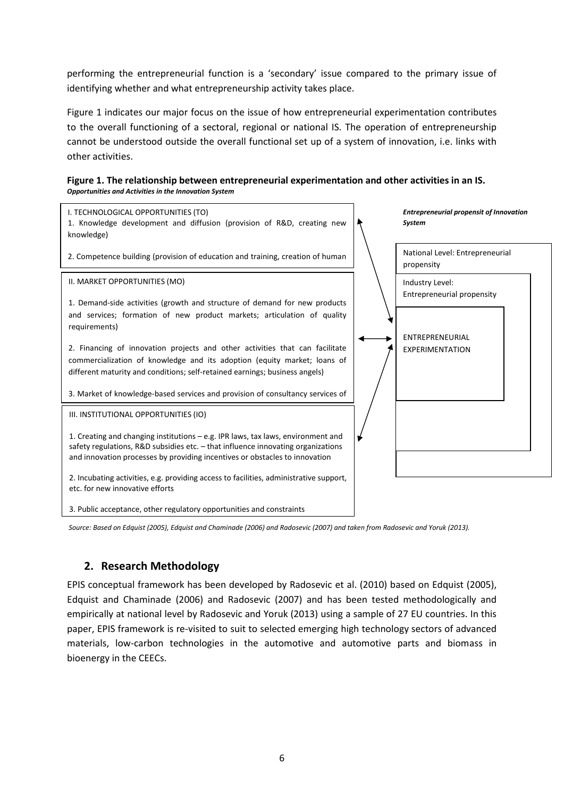performing the entrepreneurial function is a 'secondary' issue compared to the primary issue of identifying whether and what entrepreneurship activity takes place.

Figure 1 indicates our major focus on the issue of how entrepreneurial experimentation contributes to the overall functioning of a sectoral, regional or national IS. The operation of entrepreneurship cannot be understood outside the overall functional set up of a system of innovation, i.e. links with other activities.





*Source: Based on Edquist (2005), Edquist and Chaminade (2006) and Radosevic (2007) and taken from Radosevic and Yoruk (2013).*

#### <span id="page-6-0"></span>**2. Research Methodology**

EPIS conceptual framework has been developed by Radosevic et al. (2010) based on Edquist (2005), Edquist and Chaminade (2006) and Radosevic (2007) and has been tested methodologically and empirically at national level by Radosevic and Yoruk (2013) using a sample of 27 EU countries. In this paper, EPIS framework is re-visited to suit to selected emerging high technology sectors of advanced materials, low-carbon technologies in the automotive and automotive parts and biomass in bioenergy in the CEECs.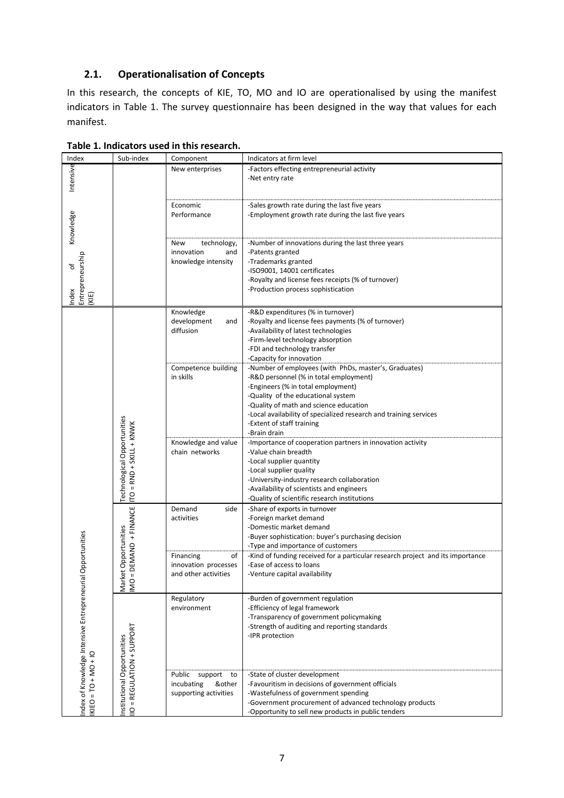#### <span id="page-7-0"></span>**2.1. Operationalisation of Concepts**

In this research, the concepts of KIE, TO, MO and IO are operationalised by using the manifest indicators in Table 1. The survey questionnaire has been designed in the way that values for each manifest.

| Index                                        | Sub-index                                                      | Component                                                                | Indicators at firm level                                                                                                                                                                                                                                                                                                                |
|----------------------------------------------|----------------------------------------------------------------|--------------------------------------------------------------------------|-----------------------------------------------------------------------------------------------------------------------------------------------------------------------------------------------------------------------------------------------------------------------------------------------------------------------------------------|
| Intensive                                    |                                                                | New enterprises                                                          | -Factors effecting entrepreneurial activity<br>-Net entry rate                                                                                                                                                                                                                                                                          |
| Knowledge                                    |                                                                | Economic<br>Performance                                                  | -Sales growth rate during the last five years<br>-Employment growth rate during the last five years                                                                                                                                                                                                                                     |
| Entrepreneurship<br>Ⴆ<br>Index<br>(KIE)      |                                                                | technology,<br>New<br>innovation<br>and<br>knowledge intensity           | -Number of innovations during the last three years<br>-Patents granted<br>-Trademarks granted<br>-ISO9001, 14001 certificates<br>-Royalty and license fees receipts (% of turnover)<br>-Production process sophistication                                                                                                               |
|                                              |                                                                | Knowledge<br>development<br>and<br>diffusion                             | -R&D expenditures (% in turnover)<br>-Royalty and license fees payments (% of turnover)<br>-Availability of latest technologies<br>-Firm-level technology absorption<br>-FDI and technology transfer<br>-Capacity for innovation                                                                                                        |
|                                              |                                                                | Competence building<br>in skills                                         | -Number of employees (with PhDs, master's, Graduates)<br>-R&D personnel (% in total employment)<br>-Engineers (% in total employment)<br>-Quality of the educational system<br>-Quality of math and science education<br>-Local availability of specialized research and training services<br>-Extent of staff training<br>-Brain drain |
|                                              | <b>Technological Opportunities</b><br>TO = RND + SKILL + KNWK  | Knowledge and value<br>chain networks                                    | -Importance of cooperation partners in innovation activity<br>-Value chain breadth<br>-Local supplier quantity<br>-Local supplier quality<br>-University-industry research collaboration<br>-Availability of scientists and engineers<br>-Quality of scientific research institutions                                                   |
|                                              | DEMAND + FINANCE                                               | Demand<br>side<br>activities                                             | -Share of exports in turnover<br>-Foreign market demand<br>-Domestic market demand<br>-Buyer sophistication: buyer's purchasing decision<br>-Type and importance of customers                                                                                                                                                           |
| Opportunities                                | et Opportunities<br>$\mathbf{H}$<br>Ňar<br>N<br>$\overline{M}$ | Financing<br>of<br>innovation processes<br>and other activities          | -Kind of funding received for a particular research project and its importance<br>-Ease of access to loans<br>-Venture capital availability                                                                                                                                                                                             |
| Index of Knowledge Intensive Entrepreneurial | IIO = REGULATION + SUPPORT                                     | Regulatory<br>environment                                                | -Burden of government regulation<br>-Efficiency of legal framework<br>-Transparency of government policymaking<br>-Strength of auditing and reporting standards<br>-IPR protection                                                                                                                                                      |
| $NIEO = TO + MO + IO$                        | Institutional Opportunities                                    | Public<br>support<br>to<br>incubating<br>&other<br>supporting activities | -State of cluster development<br>-Favouritism in decisions of government officials<br>-Wastefulness of government spending<br>-Government procurement of advanced technology products<br>-Opportunity to sell new products in public tenders                                                                                            |

#### **Table 1. Indicators used in this research.**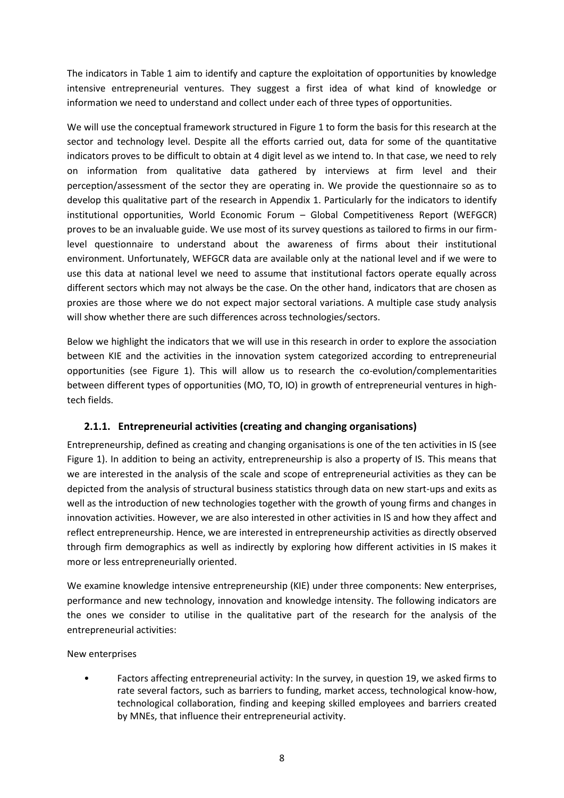The indicators in Table 1 aim to identify and capture the exploitation of opportunities by knowledge intensive entrepreneurial ventures. They suggest a first idea of what kind of knowledge or information we need to understand and collect under each of three types of opportunities.

We will use the conceptual framework structured in Figure 1 to form the basis for this research at the sector and technology level. Despite all the efforts carried out, data for some of the quantitative indicators proves to be difficult to obtain at 4 digit level as we intend to. In that case, we need to rely on information from qualitative data gathered by interviews at firm level and their perception/assessment of the sector they are operating in. We provide the questionnaire so as to develop this qualitative part of the research in Appendix 1. Particularly for the indicators to identify institutional opportunities, World Economic Forum – Global Competitiveness Report (WEFGCR) proves to be an invaluable guide. We use most of its survey questions as tailored to firms in our firmlevel questionnaire to understand about the awareness of firms about their institutional environment. Unfortunately, WEFGCR data are available only at the national level and if we were to use this data at national level we need to assume that institutional factors operate equally across different sectors which may not always be the case. On the other hand, indicators that are chosen as proxies are those where we do not expect major sectoral variations. A multiple case study analysis will show whether there are such differences across technologies/sectors.

Below we highlight the indicators that we will use in this research in order to explore the association between KIE and the activities in the innovation system categorized according to entrepreneurial opportunities (see Figure 1). This will allow us to research the co-evolution/complementarities between different types of opportunities (MO, TO, IO) in growth of entrepreneurial ventures in hightech fields.

#### **2.1.1. Entrepreneurial activities (creating and changing organisations)**

Entrepreneurship, defined as creating and changing organisations is one of the ten activities in IS (see Figure 1). In addition to being an activity, entrepreneurship is also a property of IS. This means that we are interested in the analysis of the scale and scope of entrepreneurial activities as they can be depicted from the analysis of structural business statistics through data on new start-ups and exits as well as the introduction of new technologies together with the growth of young firms and changes in innovation activities. However, we are also interested in other activities in IS and how they affect and reflect entrepreneurship. Hence, we are interested in entrepreneurship activities as directly observed through firm demographics as well as indirectly by exploring how different activities in IS makes it more or less entrepreneurially oriented.

We examine knowledge intensive entrepreneurship (KIE) under three components: New enterprises, performance and new technology, innovation and knowledge intensity. The following indicators are the ones we consider to utilise in the qualitative part of the research for the analysis of the entrepreneurial activities:

#### New enterprises

• Factors affecting entrepreneurial activity: In the survey, in question 19, we asked firms to rate several factors, such as barriers to funding, market access, technological know-how, technological collaboration, finding and keeping skilled employees and barriers created by MNEs, that influence their entrepreneurial activity.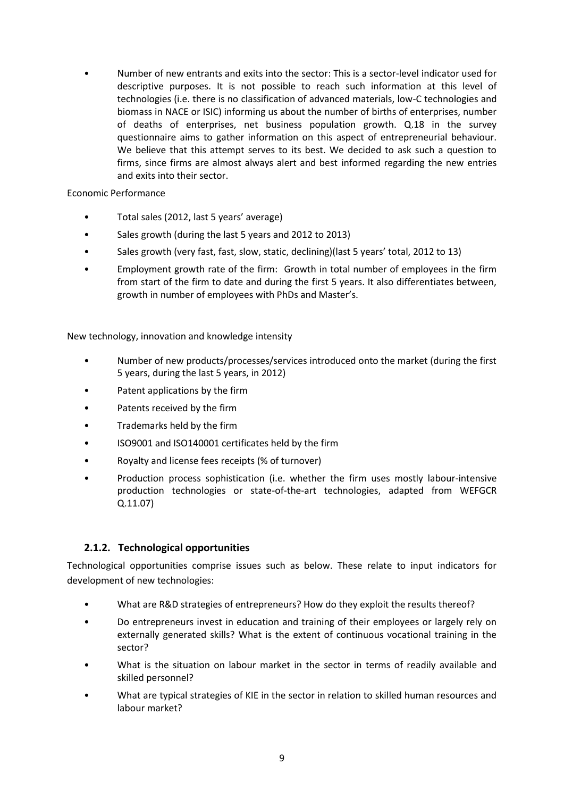• Number of new entrants and exits into the sector: This is a sector-level indicator used for descriptive purposes. It is not possible to reach such information at this level of technologies (i.e. there is no classification of advanced materials, low-C technologies and biomass in NACE or ISIC) informing us about the number of births of enterprises, number of deaths of enterprises, net business population growth. Q.18 in the survey questionnaire aims to gather information on this aspect of entrepreneurial behaviour. We believe that this attempt serves to its best. We decided to ask such a question to firms, since firms are almost always alert and best informed regarding the new entries and exits into their sector.

Economic Performance

- Total sales (2012, last 5 years' average)
- Sales growth (during the last 5 years and 2012 to 2013)
- Sales growth (very fast, fast, slow, static, declining)(last 5 years' total, 2012 to 13)
- Employment growth rate of the firm: Growth in total number of employees in the firm from start of the firm to date and during the first 5 years. It also differentiates between, growth in number of employees with PhDs and Master's.

New technology, innovation and knowledge intensity

- Number of new products/processes/services introduced onto the market (during the first 5 years, during the last 5 years, in 2012)
- Patent applications by the firm
- Patents received by the firm
- Trademarks held by the firm
- ISO9001 and ISO140001 certificates held by the firm
- Royalty and license fees receipts (% of turnover)
- Production process sophistication (i.e. whether the firm uses mostly labour-intensive production technologies or state-of-the-art technologies, adapted from WEFGCR Q.11.07)

#### **2.1.2. Technological opportunities**

Technological opportunities comprise issues such as below. These relate to input indicators for development of new technologies:

- What are R&D strategies of entrepreneurs? How do they exploit the results thereof?
- Do entrepreneurs invest in education and training of their employees or largely rely on externally generated skills? What is the extent of continuous vocational training in the sector?
- What is the situation on labour market in the sector in terms of readily available and skilled personnel?
- What are typical strategies of KIE in the sector in relation to skilled human resources and labour market?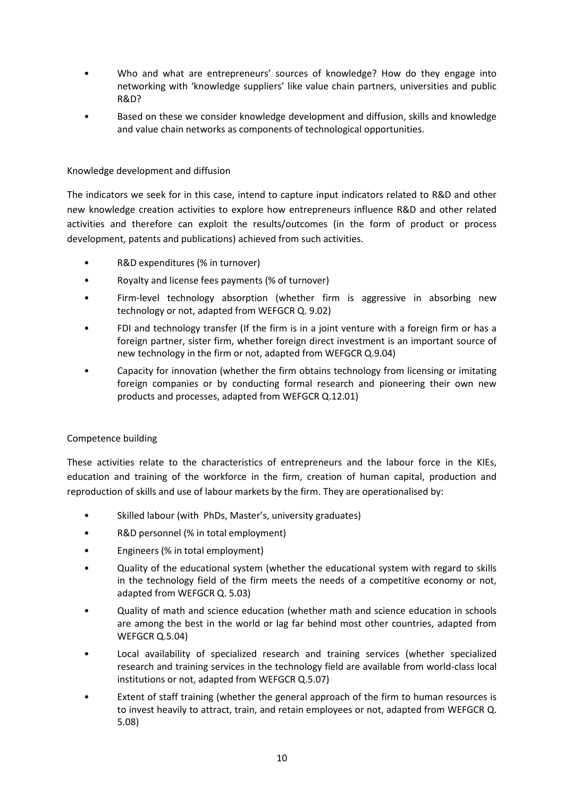- Who and what are entrepreneurs' sources of knowledge? How do they engage into networking with 'knowledge suppliers' like value chain partners, universities and public R&D?
- Based on these we consider knowledge development and diffusion, skills and knowledge and value chain networks as components of technological opportunities.

#### Knowledge development and diffusion

The indicators we seek for in this case, intend to capture input indicators related to R&D and other new knowledge creation activities to explore how entrepreneurs influence R&D and other related activities and therefore can exploit the results/outcomes (in the form of product or process development, patents and publications) achieved from such activities.

- R&D expenditures (% in turnover)
- Royalty and license fees payments (% of turnover)
- Firm-level technology absorption (whether firm is aggressive in absorbing new technology or not, adapted from WEFGCR Q. 9.02)
- FDI and technology transfer (If the firm is in a joint venture with a foreign firm or has a foreign partner, sister firm, whether foreign direct investment is an important source of new technology in the firm or not, adapted from WEFGCR Q.9.04)
- Capacity for innovation (whether the firm obtains technology from licensing or imitating foreign companies or by conducting formal research and pioneering their own new products and processes, adapted from WEFGCR Q.12.01)

#### Competence building

These activities relate to the characteristics of entrepreneurs and the labour force in the KIEs, education and training of the workforce in the firm, creation of human capital, production and reproduction of skills and use of labour markets by the firm. They are operationalised by:

- Skilled labour (with PhDs, Master's, university graduates)
- R&D personnel (% in total employment)
- Engineers (% in total employment)
- Quality of the educational system (whether the educational system with regard to skills in the technology field of the firm meets the needs of a competitive economy or not, adapted from WEFGCR Q. 5.03)
- Quality of math and science education (whether math and science education in schools are among the best in the world or lag far behind most other countries, adapted from WEFGCR Q.5.04)
- Local availability of specialized research and training services (whether specialized research and training services in the technology field are available from world-class local institutions or not, adapted from WEFGCR Q.5.07)
- Extent of staff training (whether the general approach of the firm to human resources is to invest heavily to attract, train, and retain employees or not, adapted from WEFGCR Q. 5.08)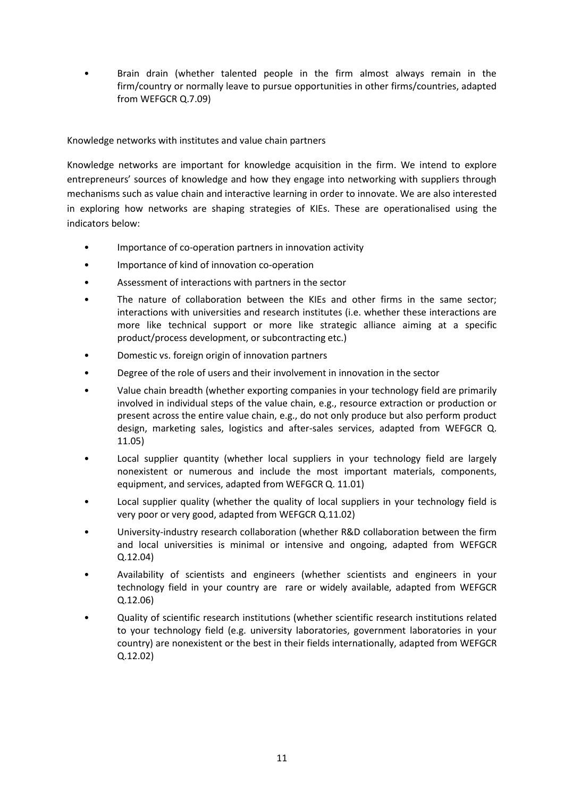• Brain drain (whether talented people in the firm almost always remain in the firm/country or normally leave to pursue opportunities in other firms/countries, adapted from WEFGCR Q.7.09)

Knowledge networks with institutes and value chain partners

Knowledge networks are important for knowledge acquisition in the firm. We intend to explore entrepreneurs' sources of knowledge and how they engage into networking with suppliers through mechanisms such as value chain and interactive learning in order to innovate. We are also interested in exploring how networks are shaping strategies of KIEs. These are operationalised using the indicators below:

- Importance of co-operation partners in innovation activity
- Importance of kind of innovation co-operation
- Assessment of interactions with partners in the sector
- The nature of collaboration between the KIEs and other firms in the same sector: interactions with universities and research institutes (i.e. whether these interactions are more like technical support or more like strategic alliance aiming at a specific product/process development, or subcontracting etc.)
- Domestic vs. foreign origin of innovation partners
- Degree of the role of users and their involvement in innovation in the sector
- Value chain breadth (whether exporting companies in your technology field are primarily involved in individual steps of the value chain, e.g., resource extraction or production or present across the entire value chain, e.g., do not only produce but also perform product design, marketing sales, logistics and after-sales services, adapted from WEFGCR Q. 11.05)
- Local supplier quantity (whether local suppliers in your technology field are largely nonexistent or numerous and include the most important materials, components, equipment, and services, adapted from WEFGCR Q. 11.01)
- Local supplier quality (whether the quality of local suppliers in your technology field is very poor or very good, adapted from WEFGCR Q.11.02)
- University-industry research collaboration (whether R&D collaboration between the firm and local universities is minimal or intensive and ongoing, adapted from WEFGCR Q.12.04)
- Availability of scientists and engineers (whether scientists and engineers in your technology field in your country are rare or widely available, adapted from WEFGCR Q.12.06)
- Quality of scientific research institutions (whether scientific research institutions related to your technology field (e.g. university laboratories, government laboratories in your country) are nonexistent or the best in their fields internationally, adapted from WEFGCR Q.12.02)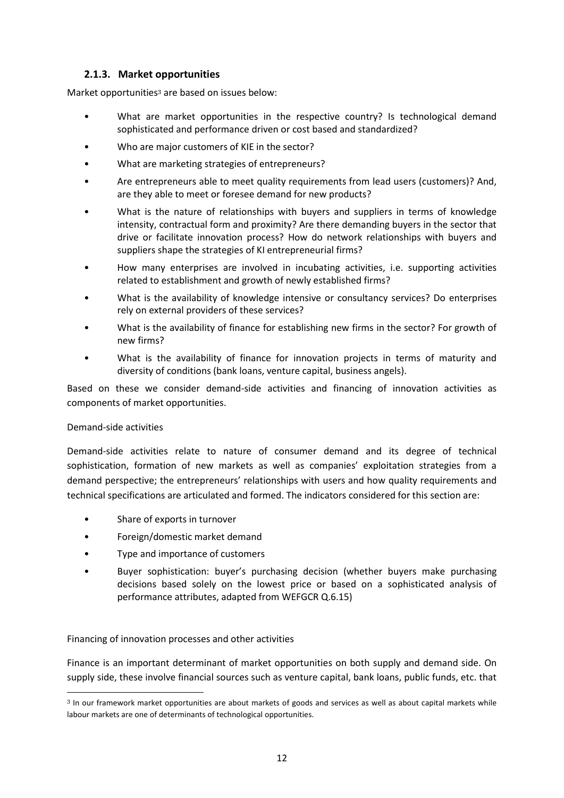#### **2.1.3. Market opportunities**

Market opportunities<sup>3</sup> are based on issues below:

- What are market opportunities in the respective country? Is technological demand sophisticated and performance driven or cost based and standardized?
- Who are major customers of KIE in the sector?
- What are marketing strategies of entrepreneurs?
- Are entrepreneurs able to meet quality requirements from lead users (customers)? And, are they able to meet or foresee demand for new products?
- What is the nature of relationships with buyers and suppliers in terms of knowledge intensity, contractual form and proximity? Are there demanding buyers in the sector that drive or facilitate innovation process? How do network relationships with buyers and suppliers shape the strategies of KI entrepreneurial firms?
- How many enterprises are involved in incubating activities, i.e. supporting activities related to establishment and growth of newly established firms?
- What is the availability of knowledge intensive or consultancy services? Do enterprises rely on external providers of these services?
- What is the availability of finance for establishing new firms in the sector? For growth of new firms?
- What is the availability of finance for innovation projects in terms of maturity and diversity of conditions (bank loans, venture capital, business angels).

Based on these we consider demand-side activities and financing of innovation activities as components of market opportunities.

#### Demand-side activities

 $\overline{\phantom{a}}$ 

Demand-side activities relate to nature of consumer demand and its degree of technical sophistication, formation of new markets as well as companies' exploitation strategies from a demand perspective; the entrepreneurs' relationships with users and how quality requirements and technical specifications are articulated and formed. The indicators considered for this section are:

- Share of exports in turnover
- Foreign/domestic market demand
- Type and importance of customers
- Buyer sophistication: buyer's purchasing decision (whether buyers make purchasing decisions based solely on the lowest price or based on a sophisticated analysis of performance attributes, adapted from WEFGCR Q.6.15)

Financing of innovation processes and other activities

Finance is an important determinant of market opportunities on both supply and demand side. On supply side, these involve financial sources such as venture capital, bank loans, public funds, etc. that

<sup>3</sup> In our framework market opportunities are about markets of goods and services as well as about capital markets while labour markets are one of determinants of technological opportunities.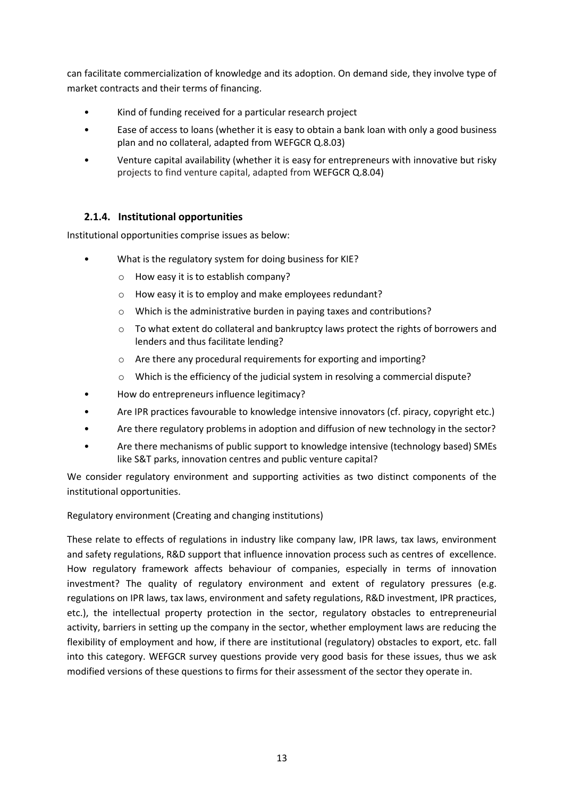can facilitate commercialization of knowledge and its adoption. On demand side, they involve type of market contracts and their terms of financing.

- Kind of funding received for a particular research project
- Ease of access to loans (whether it is easy to obtain a bank loan with only a good business plan and no collateral, adapted from WEFGCR Q.8.03)
- Venture capital availability (whether it is easy for entrepreneurs with innovative but risky projects to find venture capital, adapted from WEFGCR Q.8.04)

#### **2.1.4. Institutional opportunities**

Institutional opportunities comprise issues as below:

- What is the regulatory system for doing business for KIE?
	- o How easy it is to establish company?
	- o How easy it is to employ and make employees redundant?
	- o Which is the administrative burden in paying taxes and contributions?
	- $\circ$  To what extent do collateral and bankruptcy laws protect the rights of borrowers and lenders and thus facilitate lending?
	- o Are there any procedural requirements for exporting and importing?
	- o Which is the efficiency of the judicial system in resolving a commercial dispute?
- How do entrepreneurs influence legitimacy?
- Are IPR practices favourable to knowledge intensive innovators (cf. piracy, copyright etc.)
- Are there regulatory problems in adoption and diffusion of new technology in the sector?
- Are there mechanisms of public support to knowledge intensive (technology based) SMEs like S&T parks, innovation centres and public venture capital?

We consider regulatory environment and supporting activities as two distinct components of the institutional opportunities.

Regulatory environment (Creating and changing institutions)

These relate to effects of regulations in industry like company law, IPR laws, tax laws, environment and safety regulations, R&D support that influence innovation process such as centres of excellence. How regulatory framework affects behaviour of companies, especially in terms of innovation investment? The quality of regulatory environment and extent of regulatory pressures (e.g. regulations on IPR laws, tax laws, environment and safety regulations, R&D investment, IPR practices, etc.), the intellectual property protection in the sector, regulatory obstacles to entrepreneurial activity, barriers in setting up the company in the sector, whether employment laws are reducing the flexibility of employment and how, if there are institutional (regulatory) obstacles to export, etc. fall into this category. WEFGCR survey questions provide very good basis for these issues, thus we ask modified versions of these questions to firms for their assessment of the sector they operate in.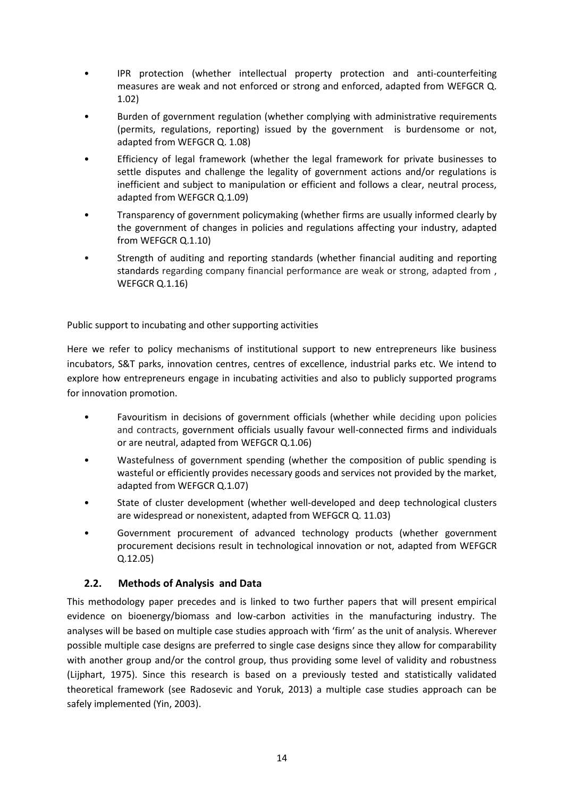- IPR protection (whether intellectual property protection and anti-counterfeiting measures are weak and not enforced or strong and enforced, adapted from WEFGCR Q. 1.02)
- Burden of government regulation (whether complying with administrative requirements (permits, regulations, reporting) issued by the government is burdensome or not, adapted from WEFGCR Q. 1.08)
- Efficiency of legal framework (whether the legal framework for private businesses to settle disputes and challenge the legality of government actions and/or regulations is inefficient and subject to manipulation or efficient and follows a clear, neutral process, adapted from WEFGCR Q.1.09)
- Transparency of government policymaking (whether firms are usually informed clearly by the government of changes in policies and regulations affecting your industry, adapted from WEFGCR Q.1.10)
- Strength of auditing and reporting standards (whether financial auditing and reporting standards regarding company financial performance are weak or strong, adapted from , WEFGCR Q.1.16)

Public support to incubating and other supporting activities

Here we refer to policy mechanisms of institutional support to new entrepreneurs like business incubators, S&T parks, innovation centres, centres of excellence, industrial parks etc. We intend to explore how entrepreneurs engage in incubating activities and also to publicly supported programs for innovation promotion.

- Favouritism in decisions of government officials (whether while deciding upon policies and contracts, government officials usually favour well-connected firms and individuals or are neutral, adapted from WEFGCR Q.1.06)
- Wastefulness of government spending (whether the composition of public spending is wasteful or efficiently provides necessary goods and services not provided by the market, adapted from WEFGCR Q.1.07)
- State of cluster development (whether well-developed and deep technological clusters are widespread or nonexistent, adapted from WEFGCR Q. 11.03)
- Government procurement of advanced technology products (whether government procurement decisions result in technological innovation or not, adapted from WEFGCR Q.12.05)

#### <span id="page-14-0"></span>**2.2. Methods of Analysis and Data**

This methodology paper precedes and is linked to two further papers that will present empirical evidence on bioenergy/biomass and low-carbon activities in the manufacturing industry. The analyses will be based on multiple case studies approach with 'firm' as the unit of analysis. Wherever possible multiple case designs are preferred to single case designs since they allow for comparability with another group and/or the control group, thus providing some level of validity and robustness (Lijphart, 1975). Since this research is based on a previously tested and statistically validated theoretical framework (see Radosevic and Yoruk, 2013) a multiple case studies approach can be safely implemented (Yin, 2003).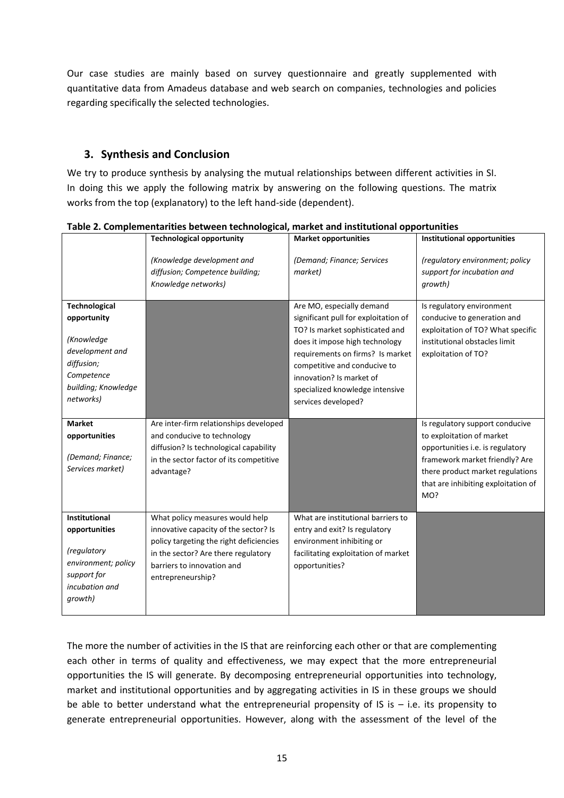Our case studies are mainly based on survey questionnaire and greatly supplemented with quantitative data from Amadeus database and web search on companies, technologies and policies regarding specifically the selected technologies.

### <span id="page-15-0"></span>**3. Synthesis and Conclusion**

We try to produce synthesis by analysing the mutual relationships between different activities in SI. In doing this we apply the following matrix by answering on the following questions. The matrix works from the top (explanatory) to the left hand-side (dependent).

|                                                                                                                                      | <b>Technological opportunity</b>                                                                                                                                                                              | <b>Market opportunities</b>                                                                                                                                                                                                                                                                      | <b>Institutional opportunities</b>                                                                                                                                                                                   |
|--------------------------------------------------------------------------------------------------------------------------------------|---------------------------------------------------------------------------------------------------------------------------------------------------------------------------------------------------------------|--------------------------------------------------------------------------------------------------------------------------------------------------------------------------------------------------------------------------------------------------------------------------------------------------|----------------------------------------------------------------------------------------------------------------------------------------------------------------------------------------------------------------------|
|                                                                                                                                      | (Knowledge development and<br>diffusion; Competence building;<br>Knowledge networks)                                                                                                                          | (Demand; Finance; Services<br>market)                                                                                                                                                                                                                                                            | (regulatory environment; policy<br>support for incubation and<br>growth)                                                                                                                                             |
| <b>Technological</b><br>opportunity<br>(Knowledge<br>development and<br>diffusion;<br>Competence<br>building; Knowledge<br>networks) |                                                                                                                                                                                                               | Are MO, especially demand<br>significant pull for exploitation of<br>TO? Is market sophisticated and<br>does it impose high technology<br>requirements on firms? Is market<br>competitive and conducive to<br>innovation? Is market of<br>specialized knowledge intensive<br>services developed? | Is regulatory environment<br>conducive to generation and<br>exploitation of TO? What specific<br>institutional obstacles limit<br>exploitation of TO?                                                                |
| <b>Market</b><br>opportunities<br>(Demand; Finance;<br>Services market)                                                              | Are inter-firm relationships developed<br>and conducive to technology<br>diffusion? Is technological capability<br>in the sector factor of its competitive<br>advantage?                                      |                                                                                                                                                                                                                                                                                                  | Is regulatory support conducive<br>to exploitation of market<br>opportunities i.e. is regulatory<br>framework market friendly? Are<br>there product market regulations<br>that are inhibiting exploitation of<br>MO? |
| <b>Institutional</b><br>opportunities<br>(regulatory<br>environment; policy<br>support for<br>incubation and<br>growth)              | What policy measures would help<br>innovative capacity of the sector? Is<br>policy targeting the right deficiencies<br>in the sector? Are there regulatory<br>barriers to innovation and<br>entrepreneurship? | What are institutional barriers to<br>entry and exit? Is regulatory<br>environment inhibiting or<br>facilitating exploitation of market<br>opportunities?                                                                                                                                        |                                                                                                                                                                                                                      |

**Table 2. Complementarities between technological, market and institutional opportunities**

The more the number of activities in the IS that are reinforcing each other or that are complementing each other in terms of quality and effectiveness, we may expect that the more entrepreneurial opportunities the IS will generate. By decomposing entrepreneurial opportunities into technology, market and institutional opportunities and by aggregating activities in IS in these groups we should be able to better understand what the entrepreneurial propensity of IS is  $-$  i.e. its propensity to generate entrepreneurial opportunities. However, along with the assessment of the level of the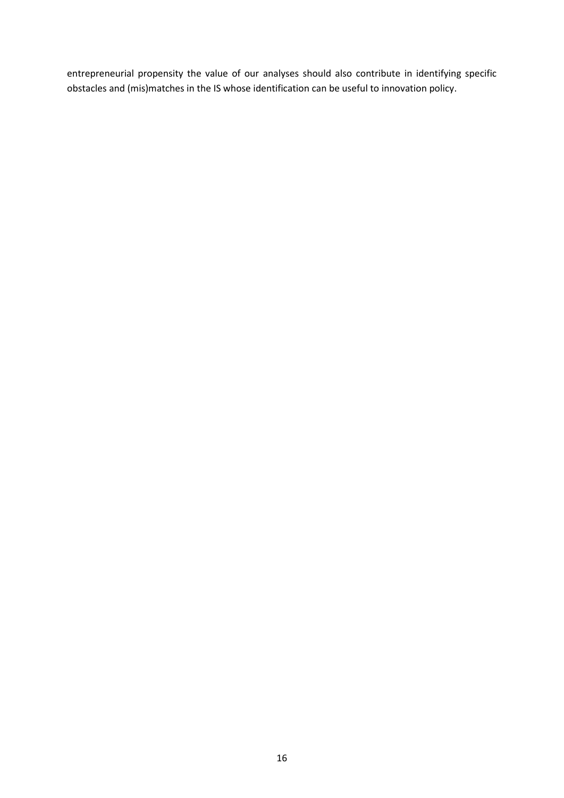entrepreneurial propensity the value of our analyses should also contribute in identifying specific obstacles and (mis)matches in the IS whose identification can be useful to innovation policy.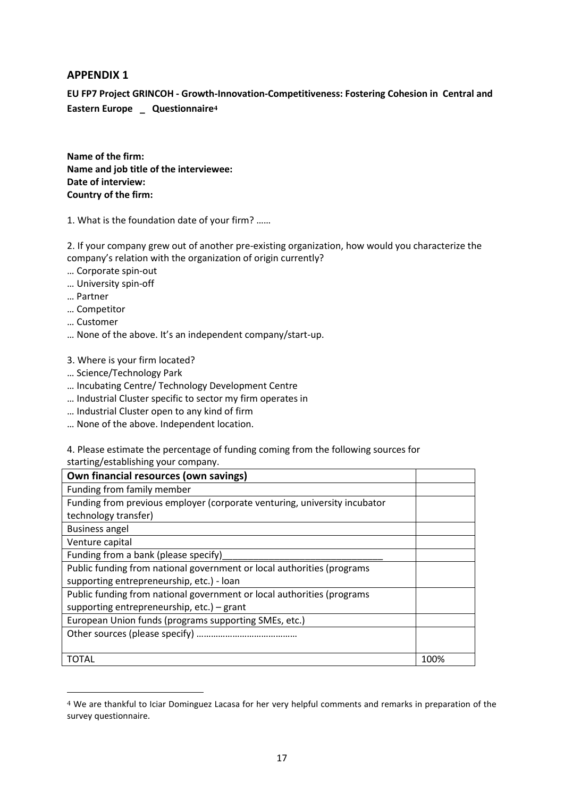#### <span id="page-17-0"></span>**APPENDIX 1**

**EU FP7 Project GRINCOH - Growth-Innovation-Competitiveness: Fostering Cohesion in Central and Eastern Europe \_ Questionnaire<sup>4</sup>**

**Name of the firm: Name and job title of the interviewee: Date of interview: Country of the firm:**

1. What is the foundation date of your firm? ……

2. If your company grew out of another pre-existing organization, how would you characterize the company's relation with the organization of origin currently?

- … Corporate spin-out
- … University spin-off
- … Partner
- … Competitor
- … Customer

**.** 

- … None of the above. It's an independent company/start-up.
- 3. Where is your firm located?
- … Science/Technology Park
- … Incubating Centre/ Technology Development Centre
- … Industrial Cluster specific to sector my firm operates in
- … Industrial Cluster open to any kind of firm
- … None of the above. Independent location.

4. Please estimate the percentage of funding coming from the following sources for

starting/establishing your company.

| Own financial resources (own savings)                                     |      |
|---------------------------------------------------------------------------|------|
| Funding from family member                                                |      |
| Funding from previous employer (corporate venturing, university incubator |      |
| technology transfer)                                                      |      |
| <b>Business angel</b>                                                     |      |
| Venture capital                                                           |      |
| Funding from a bank (please specify)                                      |      |
| Public funding from national government or local authorities (programs    |      |
| supporting entrepreneurship, etc.) - loan                                 |      |
| Public funding from national government or local authorities (programs    |      |
| supporting entrepreneurship, etc.) - grant                                |      |
| European Union funds (programs supporting SMEs, etc.)                     |      |
|                                                                           |      |
|                                                                           |      |
| TOTAL                                                                     | 100% |

<sup>4</sup> We are thankful to Iciar Dominguez Lacasa for her very helpful comments and remarks in preparation of the survey questionnaire.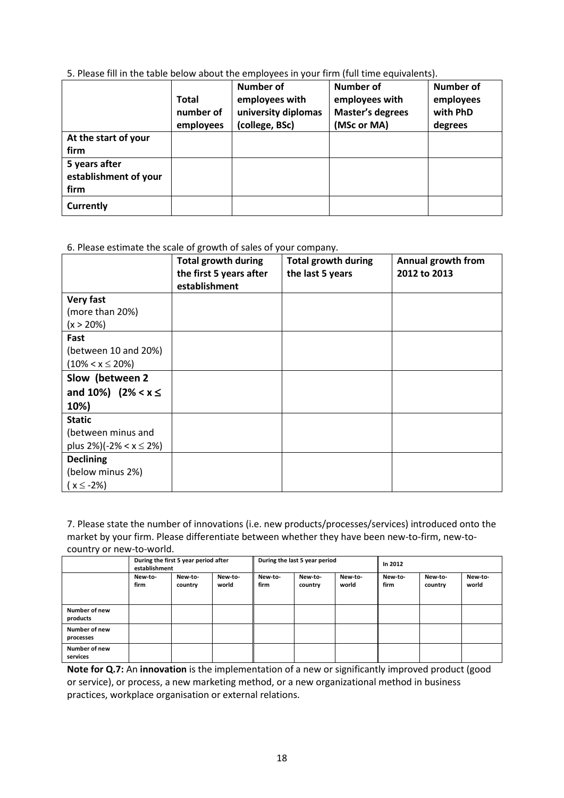5. Please fill in the table below about the employees in your firm (full time equivalents).

|                                                | <b>Total</b><br>number of<br>employees | <b>Number of</b><br>employees with<br>university diplomas<br>(college, BSc) | <b>Number of</b><br>employees with<br><b>Master's degrees</b><br>(MSc or MA) | <b>Number of</b><br>employees<br>with PhD<br>degrees |
|------------------------------------------------|----------------------------------------|-----------------------------------------------------------------------------|------------------------------------------------------------------------------|------------------------------------------------------|
| At the start of your<br>firm                   |                                        |                                                                             |                                                                              |                                                      |
| 5 years after<br>establishment of your<br>firm |                                        |                                                                             |                                                                              |                                                      |
| <b>Currently</b>                               |                                        |                                                                             |                                                                              |                                                      |

#### 6. Please estimate the scale of growth of sales of your company.

|                                 | <b>Total growth during</b><br>the first 5 years after<br>establishment | <b>Total growth during</b><br>the last 5 years | Annual growth from<br>2012 to 2013 |
|---------------------------------|------------------------------------------------------------------------|------------------------------------------------|------------------------------------|
| <b>Very fast</b>                |                                                                        |                                                |                                    |
| (more than 20%)                 |                                                                        |                                                |                                    |
| $(x > 20\%)$                    |                                                                        |                                                |                                    |
| Fast                            |                                                                        |                                                |                                    |
| (between 10 and 20%)            |                                                                        |                                                |                                    |
| $(10\% < x \leq 20\%)$          |                                                                        |                                                |                                    |
| Slow (between 2                 |                                                                        |                                                |                                    |
| and 10%) $(2\% < x \leq$        |                                                                        |                                                |                                    |
| 10%)                            |                                                                        |                                                |                                    |
| <b>Static</b>                   |                                                                        |                                                |                                    |
| (between minus and              |                                                                        |                                                |                                    |
| plus $2\%$ )(-2% < x $\leq$ 2%) |                                                                        |                                                |                                    |
| <b>Declining</b>                |                                                                        |                                                |                                    |
| (below minus 2%)                |                                                                        |                                                |                                    |
| $(x \le -2\%)$                  |                                                                        |                                                |                                    |

7. Please state the number of innovations (i.e. new products/processes/services) introduced onto the market by your firm. Please differentiate between whether they have been new-to-firm, new-tocountry or new-to-world.

|                            | During the first 5 year period after<br>establishment |                    | During the last 5 year period |                 |                    | In 2012          |                 |                    |                  |
|----------------------------|-------------------------------------------------------|--------------------|-------------------------------|-----------------|--------------------|------------------|-----------------|--------------------|------------------|
|                            | New-to-<br>firm                                       | New-to-<br>country | New-to-<br>world              | New-to-<br>firm | New-to-<br>country | New-to-<br>world | New-to-<br>firm | New-to-<br>country | New-to-<br>world |
| Number of new<br>products  |                                                       |                    |                               |                 |                    |                  |                 |                    |                  |
| Number of new<br>processes |                                                       |                    |                               |                 |                    |                  |                 |                    |                  |
| Number of new<br>services  |                                                       |                    |                               |                 |                    |                  |                 |                    |                  |

**Note for Q.7:** An **innovation** is the implementation of a new or significantly improved product (good or service), or process, a new marketing method, or a new organizational method in business practices, workplace organisation or external relations.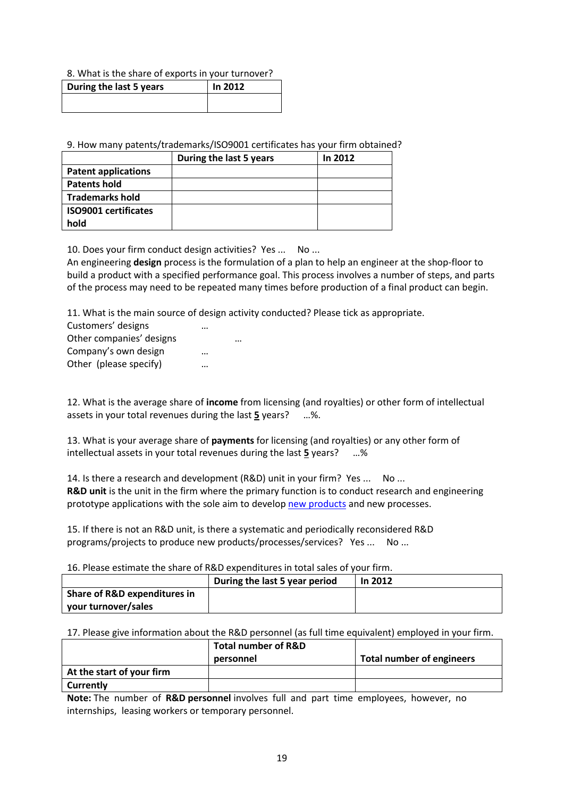#### 8. What is the share of exports in your turnover?

| During the last 5 years | In 2012 |
|-------------------------|---------|
|                         |         |

9. How many patents/trademarks/ISO9001 certificates has your firm obtained?

|                             | During the last 5 years | In 2012 |
|-----------------------------|-------------------------|---------|
| <b>Patent applications</b>  |                         |         |
| <b>Patents hold</b>         |                         |         |
| <b>Trademarks hold</b>      |                         |         |
| <b>ISO9001 certificates</b> |                         |         |
| hold                        |                         |         |

10. Does your firm conduct design activities? Yes ... No ...

An engineering **design** process is the formulation of a plan to help an engineer at the shop-floor to build a product with a specified performance goal. This process involves a number of steps, and parts of the process may need to be repeated many times before production of a final product can begin.

11. What is the main source of design activity conducted? Please tick as appropriate.

| Customers' designs       |  |
|--------------------------|--|
| Other companies' designs |  |
| Company's own design     |  |
| Other (please specify)   |  |

12. What is the average share of **income** from licensing (and royalties) or other form of intellectual assets in your total revenues during the last **5** years? …%.

13. What is your average share of **payments** for licensing (and royalties) or any other form of intellectual assets in your total revenues during the last **5** years? …%

14. Is there a research and development (R&D) unit in your firm? Yes ... No ... **R&D unit** is the unit in the firm where the primary function is to conduct research and engineering prototype applications with the sole aim to develop [new products](http://en.wikipedia.org/wiki/New_product_development) and new processes.

15. If there is not an R&D unit, is there a systematic and periodically reconsidered R&D programs/projects to produce new products/processes/services? Yes ... No ...

16. Please estimate the share of R&D expenditures in total sales of your firm.

|                              | During the last 5 year period | In 2012 |
|------------------------------|-------------------------------|---------|
| Share of R&D expenditures in |                               |         |
| your turnover/sales          |                               |         |

17. Please give information about the R&D personnel (as full time equivalent) employed in your firm.

|                           | Total number of R&D |                                  |
|---------------------------|---------------------|----------------------------------|
|                           | personnel           | <b>Total number of engineers</b> |
| At the start of your firm |                     |                                  |
| Currently                 |                     |                                  |

**Note:** The number of **R&D personnel** involves full and part time employees, however, no internships, leasing workers or temporary personnel.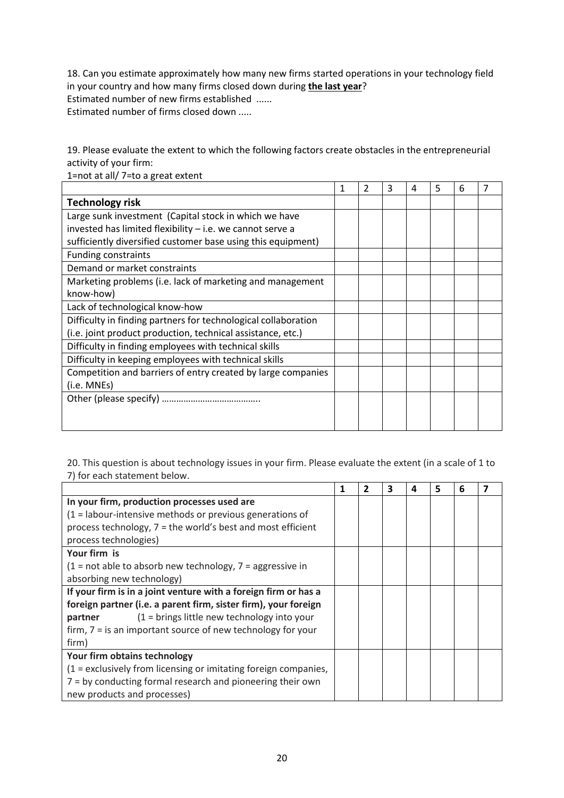18. Can you estimate approximately how many new firms started operations in your technology field in your country and how many firms closed down during **the last year**? Estimated number of new firms established ...... Estimated number of firms closed down .....

19. Please evaluate the extent to which the following factors create obstacles in the entrepreneurial activity of your firm:

|                                                                | 2 | 3 | 4 | 5 | 6 | 7 |
|----------------------------------------------------------------|---|---|---|---|---|---|
| <b>Technology risk</b>                                         |   |   |   |   |   |   |
| Large sunk investment (Capital stock in which we have          |   |   |   |   |   |   |
| invested has limited flexibility $-$ i.e. we cannot serve a    |   |   |   |   |   |   |
| sufficiently diversified customer base using this equipment)   |   |   |   |   |   |   |
| <b>Funding constraints</b>                                     |   |   |   |   |   |   |
| Demand or market constraints                                   |   |   |   |   |   |   |
| Marketing problems (i.e. lack of marketing and management      |   |   |   |   |   |   |
| know-how)                                                      |   |   |   |   |   |   |
| Lack of technological know-how                                 |   |   |   |   |   |   |
| Difficulty in finding partners for technological collaboration |   |   |   |   |   |   |
| (i.e. joint product production, technical assistance, etc.)    |   |   |   |   |   |   |
| Difficulty in finding employees with technical skills          |   |   |   |   |   |   |
| Difficulty in keeping employees with technical skills          |   |   |   |   |   |   |
| Competition and barriers of entry created by large companies   |   |   |   |   |   |   |
| (i.e. MNEs)                                                    |   |   |   |   |   |   |
|                                                                |   |   |   |   |   |   |
|                                                                |   |   |   |   |   |   |
|                                                                |   |   |   |   |   |   |

1=not at all/ 7=to a great extent

20. This question is about technology issues in your firm. Please evaluate the extent (in a scale of 1 to 7) for each statement below.

|                                                                   | 1 | 2 | 3 | Δ | 5 | 6 |  |
|-------------------------------------------------------------------|---|---|---|---|---|---|--|
| In your firm, production processes used are                       |   |   |   |   |   |   |  |
| $(1 =$ labour-intensive methods or previous generations of        |   |   |   |   |   |   |  |
| process technology, 7 = the world's best and most efficient       |   |   |   |   |   |   |  |
| process technologies)                                             |   |   |   |   |   |   |  |
| Your firm is                                                      |   |   |   |   |   |   |  |
| $(1 = not able to absorb new technology, 7 = aggressive in$       |   |   |   |   |   |   |  |
| absorbing new technology)                                         |   |   |   |   |   |   |  |
| If your firm is in a joint venture with a foreign firm or has a   |   |   |   |   |   |   |  |
| foreign partner (i.e. a parent firm, sister firm), your foreign   |   |   |   |   |   |   |  |
| $(1 = \text{brings little new technology into your})$<br>partner  |   |   |   |   |   |   |  |
| firm, $7 =$ is an important source of new technology for your     |   |   |   |   |   |   |  |
| firm)                                                             |   |   |   |   |   |   |  |
| Your firm obtains technology                                      |   |   |   |   |   |   |  |
| $(1 =$ exclusively from licensing or imitating foreign companies, |   |   |   |   |   |   |  |
| 7 = by conducting formal research and pioneering their own        |   |   |   |   |   |   |  |
| new products and processes)                                       |   |   |   |   |   |   |  |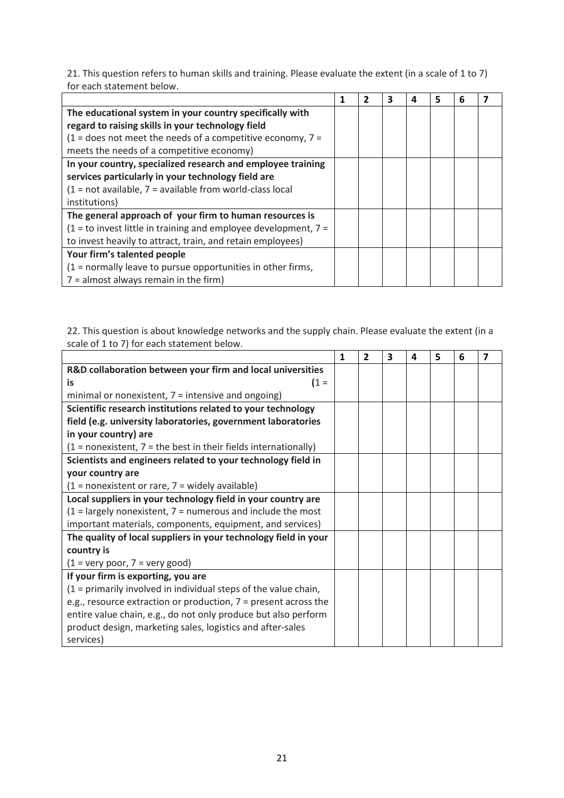21. This question refers to human skills and training. Please evaluate the extent (in a scale of 1 to 7) for each statement below.

|                                                                     | 1 | 3 | 4 | 5 | 6 |  |
|---------------------------------------------------------------------|---|---|---|---|---|--|
| The educational system in your country specifically with            |   |   |   |   |   |  |
| regard to raising skills in your technology field                   |   |   |   |   |   |  |
| $(1 =$ does not meet the needs of a competitive economy, $7 =$      |   |   |   |   |   |  |
| meets the needs of a competitive economy)                           |   |   |   |   |   |  |
| In your country, specialized research and employee training         |   |   |   |   |   |  |
| services particularly in your technology field are                  |   |   |   |   |   |  |
| $(1 = not available, 7 = available from world-class local$          |   |   |   |   |   |  |
| institutions)                                                       |   |   |   |   |   |  |
| The general approach of your firm to human resources is             |   |   |   |   |   |  |
| $(1 =$ to invest little in training and employee development, $7 =$ |   |   |   |   |   |  |
| to invest heavily to attract, train, and retain employees)          |   |   |   |   |   |  |
| Your firm's talented people                                         |   |   |   |   |   |  |
| $(1 = normally leave to pursue opportunities in other firms,$       |   |   |   |   |   |  |
| $7 =$ almost always remain in the firm)                             |   |   |   |   |   |  |

22. This question is about knowledge networks and the supply chain. Please evaluate the extent (in a scale of 1 to 7) for each statement below.  $\overline{\phantom{0}}$ 

|                                                                    | 1 | 2 | 3 | Δ | 5 | 6 | 7 |
|--------------------------------------------------------------------|---|---|---|---|---|---|---|
| R&D collaboration between your firm and local universities         |   |   |   |   |   |   |   |
| $(1 =$<br>is                                                       |   |   |   |   |   |   |   |
| minimal or nonexistent, $7 =$ intensive and ongoing)               |   |   |   |   |   |   |   |
| Scientific research institutions related to your technology        |   |   |   |   |   |   |   |
| field (e.g. university laboratories, government laboratories       |   |   |   |   |   |   |   |
| in your country) are                                               |   |   |   |   |   |   |   |
| $(1 = nonexistence, 7 = the best in their fields internationally)$ |   |   |   |   |   |   |   |
| Scientists and engineers related to your technology field in       |   |   |   |   |   |   |   |
| your country are                                                   |   |   |   |   |   |   |   |
| $(1 = nonexistence)$ rare, $7 =$ widely available)                 |   |   |   |   |   |   |   |
| Local suppliers in your technology field in your country are       |   |   |   |   |   |   |   |
| $(1 =$ largely nonexistent, $7 =$ numerous and include the most    |   |   |   |   |   |   |   |
| important materials, components, equipment, and services)          |   |   |   |   |   |   |   |
| The quality of local suppliers in your technology field in your    |   |   |   |   |   |   |   |
| country is                                                         |   |   |   |   |   |   |   |
| $(1 = \text{very poor}, 7 = \text{very good})$                     |   |   |   |   |   |   |   |
| If your firm is exporting, you are                                 |   |   |   |   |   |   |   |
| $(1 =$ primarily involved in individual steps of the value chain,  |   |   |   |   |   |   |   |
| e.g., resource extraction or production, $7$ = present across the  |   |   |   |   |   |   |   |
| entire value chain, e.g., do not only produce but also perform     |   |   |   |   |   |   |   |
| product design, marketing sales, logistics and after-sales         |   |   |   |   |   |   |   |
| services)                                                          |   |   |   |   |   |   |   |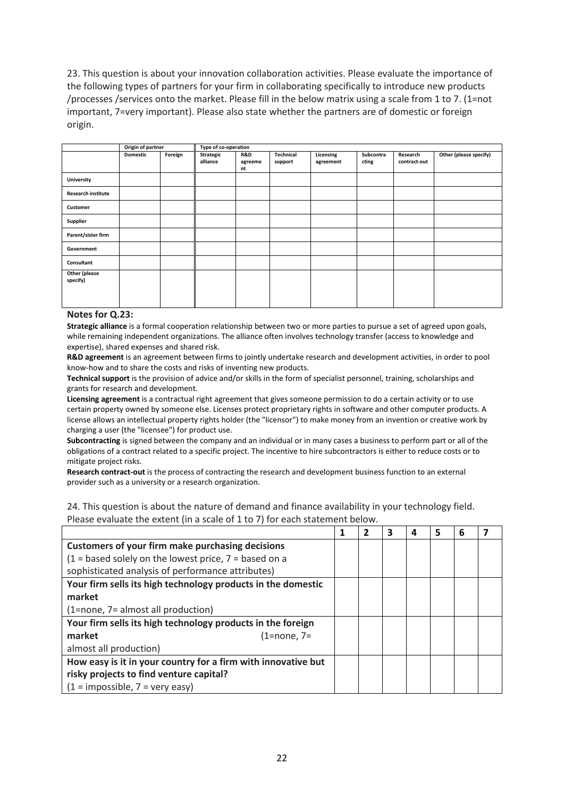23. This question is about your innovation collaboration activities. Please evaluate the importance of the following types of partners for your firm in collaborating specifically to introduce new products /processes /services onto the market. Please fill in the below matrix using a scale from 1 to 7. (1=not important, 7=very important). Please also state whether the partners are of domestic or foreign origin.

|                           | Origin of partner |         | Type of co-operation  |                      |                      |                        |                    |                          |                        |
|---------------------------|-------------------|---------|-----------------------|----------------------|----------------------|------------------------|--------------------|--------------------------|------------------------|
|                           | <b>Domestic</b>   | Foreign | Strategic<br>alliance | R&D<br>agreeme<br>nt | Technical<br>support | Licensing<br>agreement | Subcontra<br>cting | Research<br>contract-out | Other (please specify) |
| <b>University</b>         |                   |         |                       |                      |                      |                        |                    |                          |                        |
| <b>Research institute</b> |                   |         |                       |                      |                      |                        |                    |                          |                        |
| Customer                  |                   |         |                       |                      |                      |                        |                    |                          |                        |
| <b>Supplier</b>           |                   |         |                       |                      |                      |                        |                    |                          |                        |
| Parent/sister firm        |                   |         |                       |                      |                      |                        |                    |                          |                        |
| Government                |                   |         |                       |                      |                      |                        |                    |                          |                        |
| Consultant                |                   |         |                       |                      |                      |                        |                    |                          |                        |
| Other (please<br>specify) |                   |         |                       |                      |                      |                        |                    |                          |                        |

#### **Notes for Q.23:**

**Strategic alliance** is a formal cooperation relationship between two or more parties to pursue a set of agreed upon goals, while remaining independent organizations. The alliance often involves technology transfer (access to knowledge and expertise), shared expenses and shared risk.

**R&D agreement** is an agreement between firms to jointly undertake research and development activities, in order to pool know-how and to share the costs and risks of inventing new products.

**Technical support** is the provision of advice and/or skills in the form of specialist personnel, training, scholarships and grants for research and development.

**Licensing agreement** is a contractual right agreement that gives someone permission to do a certain activity or to use certain property owned by someone else. Licenses protect proprietary rights in software and other computer products. A license allows an intellectual property rights holder (the "licensor") to make money from an invention or creative work by charging a user (the "licensee") for product use.

**Subcontracting** is signed between the company and an individual or in many cases a business to perform part or all of the obligations of a contract related to a specific project. The incentive to hire subcontractors is either to reduce costs or to mitigate project risks.

**Research contract-out** is the process of contracting the research and development business function to an external provider such as a university or a research organization.

24. This question is about the nature of demand and finance availability in your technology field. Please evaluate the extent (in a scale of 1 to 7) for each statement below.

|                                                               | 1 | 2 | 3 | 4 | 5 | 6 |  |
|---------------------------------------------------------------|---|---|---|---|---|---|--|
| <b>Customers of your firm make purchasing decisions</b>       |   |   |   |   |   |   |  |
| $(1 =$ based solely on the lowest price, $7 =$ based on a     |   |   |   |   |   |   |  |
| sophisticated analysis of performance attributes)             |   |   |   |   |   |   |  |
| Your firm sells its high technology products in the domestic  |   |   |   |   |   |   |  |
| market                                                        |   |   |   |   |   |   |  |
| (1=none, 7= almost all production)                            |   |   |   |   |   |   |  |
| Your firm sells its high technology products in the foreign   |   |   |   |   |   |   |  |
| market<br>$(1=none, 7=$                                       |   |   |   |   |   |   |  |
| almost all production)                                        |   |   |   |   |   |   |  |
| How easy is it in your country for a firm with innovative but |   |   |   |   |   |   |  |
| risky projects to find venture capital?                       |   |   |   |   |   |   |  |
| $(1 = \text{impossible}, 7 = \text{very easy})$               |   |   |   |   |   |   |  |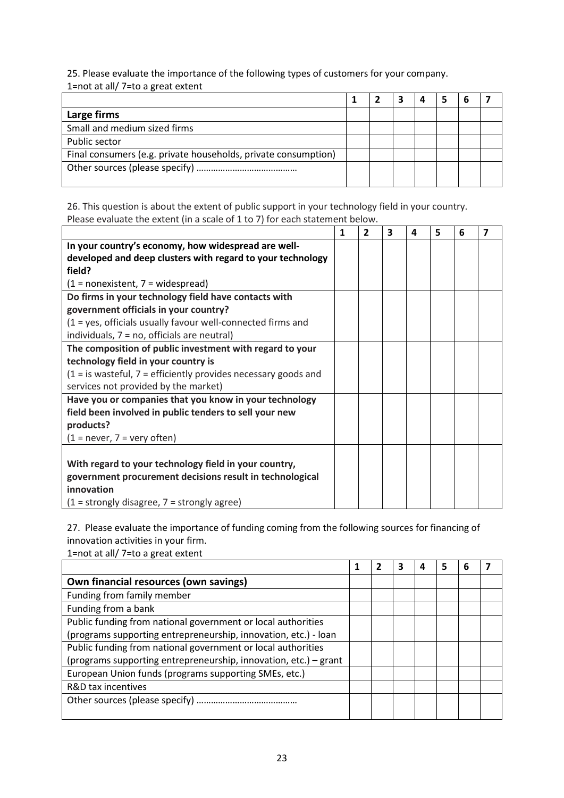25. Please evaluate the importance of the following types of customers for your company. 1=not at all/ 7=to a great extent

| Large firms                                                    |  |  |  |  |
|----------------------------------------------------------------|--|--|--|--|
| Small and medium sized firms                                   |  |  |  |  |
| Public sector                                                  |  |  |  |  |
| Final consumers (e.g. private households, private consumption) |  |  |  |  |
|                                                                |  |  |  |  |

26. This question is about the extent of public support in your technology field in your country. Please evaluate the extent (in a scale of 1 to 7) for each statement below.

|                                                                    | 1 | $\overline{2}$ | 3 | 4 | 5 | 6 | $\overline{\mathbf{z}}$ |
|--------------------------------------------------------------------|---|----------------|---|---|---|---|-------------------------|
| In your country's economy, how widespread are well-                |   |                |   |   |   |   |                         |
| developed and deep clusters with regard to your technology         |   |                |   |   |   |   |                         |
| field?                                                             |   |                |   |   |   |   |                         |
| $(1 = nonexistence, 7 = widespread)$                               |   |                |   |   |   |   |                         |
| Do firms in your technology field have contacts with               |   |                |   |   |   |   |                         |
| government officials in your country?                              |   |                |   |   |   |   |                         |
| (1 = yes, officials usually favour well-connected firms and        |   |                |   |   |   |   |                         |
| individuals, 7 = no, officials are neutral)                        |   |                |   |   |   |   |                         |
| The composition of public investment with regard to your           |   |                |   |   |   |   |                         |
| technology field in your country is                                |   |                |   |   |   |   |                         |
| $(1 =$ is wasteful, $7 =$ efficiently provides necessary goods and |   |                |   |   |   |   |                         |
| services not provided by the market)                               |   |                |   |   |   |   |                         |
| Have you or companies that you know in your technology             |   |                |   |   |   |   |                         |
| field been involved in public tenders to sell your new             |   |                |   |   |   |   |                         |
| products?                                                          |   |                |   |   |   |   |                         |
| $(1 = never, 7 = very often)$                                      |   |                |   |   |   |   |                         |
|                                                                    |   |                |   |   |   |   |                         |
| With regard to your technology field in your country,              |   |                |   |   |   |   |                         |
| government procurement decisions result in technological           |   |                |   |   |   |   |                         |
| innovation                                                         |   |                |   |   |   |   |                         |
| $(1 =$ strongly disagree, $7 =$ strongly agree)                    |   |                |   |   |   |   |                         |

27. Please evaluate the importance of funding coming from the following sources for financing of innovation activities in your firm.

1=not at all/ 7=to a great extent

|                                                                  |  | 3 | 5 |  |
|------------------------------------------------------------------|--|---|---|--|
| Own financial resources (own savings)                            |  |   |   |  |
| Funding from family member                                       |  |   |   |  |
| Funding from a bank                                              |  |   |   |  |
| Public funding from national government or local authorities     |  |   |   |  |
| (programs supporting entrepreneurship, innovation, etc.) - loan  |  |   |   |  |
| Public funding from national government or local authorities     |  |   |   |  |
| (programs supporting entrepreneurship, innovation, etc.) – grant |  |   |   |  |
| European Union funds (programs supporting SMEs, etc.)            |  |   |   |  |
| R&D tax incentives                                               |  |   |   |  |
|                                                                  |  |   |   |  |
|                                                                  |  |   |   |  |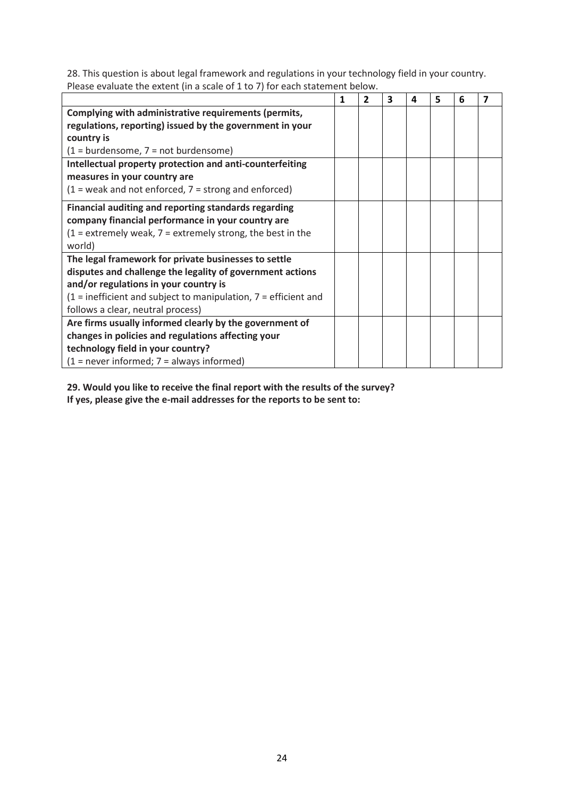28. This question is about legal framework and regulations in your technology field in your country. Please evaluate the extent (in a scale of 1 to 7) for each statement below.

|                                                                        | 1 | $\overline{2}$ | 3 | 4 | 5 | 6 | 7 |
|------------------------------------------------------------------------|---|----------------|---|---|---|---|---|
| Complying with administrative requirements (permits,                   |   |                |   |   |   |   |   |
| regulations, reporting) issued by the government in your               |   |                |   |   |   |   |   |
| country is                                                             |   |                |   |   |   |   |   |
| $(1 = \text{burdensome}, 7 = \text{not burdensome})$                   |   |                |   |   |   |   |   |
| Intellectual property protection and anti-counterfeiting               |   |                |   |   |   |   |   |
| measures in your country are                                           |   |                |   |   |   |   |   |
| $(1 = \text{weak}$ and not enforced, $7 = \text{strong}$ and enforced) |   |                |   |   |   |   |   |
| Financial auditing and reporting standards regarding                   |   |                |   |   |   |   |   |
| company financial performance in your country are                      |   |                |   |   |   |   |   |
| $(1 =$ extremely weak, $7 =$ extremely strong, the best in the         |   |                |   |   |   |   |   |
| world)                                                                 |   |                |   |   |   |   |   |
| The legal framework for private businesses to settle                   |   |                |   |   |   |   |   |
| disputes and challenge the legality of government actions              |   |                |   |   |   |   |   |
| and/or regulations in your country is                                  |   |                |   |   |   |   |   |
| $(1 =$ inefficient and subject to manipulation, $7 =$ efficient and    |   |                |   |   |   |   |   |
| follows a clear, neutral process)                                      |   |                |   |   |   |   |   |
| Are firms usually informed clearly by the government of                |   |                |   |   |   |   |   |
| changes in policies and regulations affecting your                     |   |                |   |   |   |   |   |
| technology field in your country?                                      |   |                |   |   |   |   |   |
| $(1 = never informed; 7 = always informed)$                            |   |                |   |   |   |   |   |

**29. Would you like to receive the final report with the results of the survey? If yes, please give the e-mail addresses for the reports to be sent to:**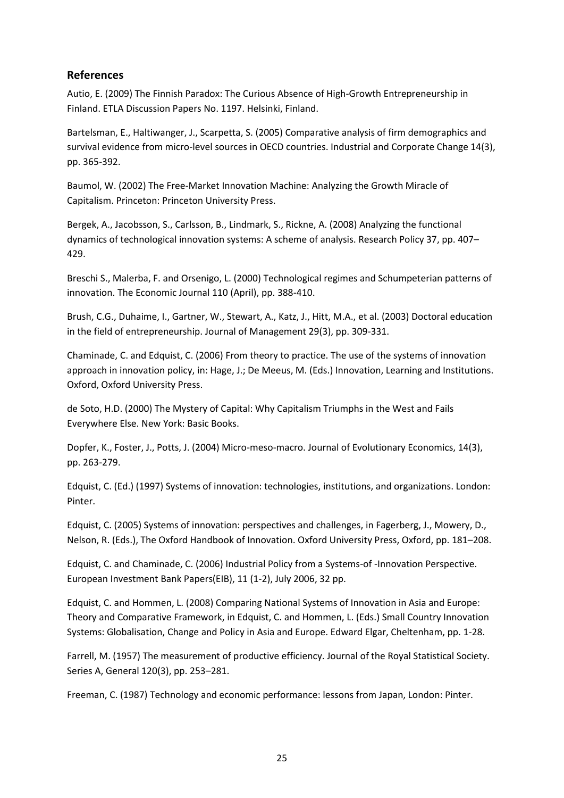#### <span id="page-25-0"></span>**References**

Autio, E. (2009) The Finnish Paradox: The Curious Absence of High-Growth Entrepreneurship in Finland. ETLA Discussion Papers No. 1197. Helsinki, Finland.

Bartelsman, E., Haltiwanger, J., Scarpetta, S. (2005) Comparative analysis of firm demographics and survival evidence from micro-level sources in OECD countries. Industrial and Corporate Change 14(3), pp. 365-392.

Baumol, W. (2002) The Free-Market Innovation Machine: Analyzing the Growth Miracle of Capitalism. Princeton: Princeton University Press.

Bergek, A., Jacobsson, S., Carlsson, B., Lindmark, S., Rickne, A. (2008) Analyzing the functional dynamics of technological innovation systems: A scheme of analysis. Research Policy 37, pp. 407– 429.

Breschi S., Malerba, F. and Orsenigo, L. (2000) Technological regimes and Schumpeterian patterns of innovation. The Economic Journal 110 (April), pp. 388-410.

Brush, C.G., Duhaime, I., Gartner, W., Stewart, A., Katz, J., Hitt, M.A., et al. (2003) Doctoral education in the field of entrepreneurship. Journal of Management 29(3), pp. 309-331.

Chaminade, C. and Edquist, C. (2006) From theory to practice. The use of the systems of innovation approach in innovation policy, in: Hage, J.; De Meeus, M. (Eds.) Innovation, Learning and Institutions. Oxford, Oxford University Press.

de Soto, H.D. (2000) The Mystery of Capital: Why Capitalism Triumphs in the West and Fails Everywhere Else. New York: Basic Books.

Dopfer, K., Foster, J., Potts, J. (2004) Micro-meso-macro. Journal of Evolutionary Economics, 14(3), pp. 263-279.

Edquist, C. (Ed.) (1997) Systems of innovation: technologies, institutions, and organizations. London: Pinter.

Edquist, C. (2005) Systems of innovation: perspectives and challenges, in Fagerberg, J., Mowery, D., Nelson, R. (Eds.), The Oxford Handbook of Innovation. Oxford University Press, Oxford, pp. 181–208.

Edquist, C. and Chaminade, C. (2006) Industrial Policy from a Systems-of -Innovation Perspective. European Investment Bank Papers(EIB), 11 (1-2), July 2006, 32 pp.

Edquist, C. and Hommen, L. (2008) Comparing National Systems of Innovation in Asia and Europe: Theory and Comparative Framework, in Edquist, C. and Hommen, L. (Eds.) Small Country Innovation Systems: Globalisation, Change and Policy in Asia and Europe. Edward Elgar, Cheltenham, pp. 1-28.

Farrell, M. (1957) The measurement of productive efficiency. Journal of the Royal Statistical Society. Series A, General 120(3), pp. 253–281.

Freeman, C. (1987) Technology and economic performance: lessons from Japan, London: Pinter.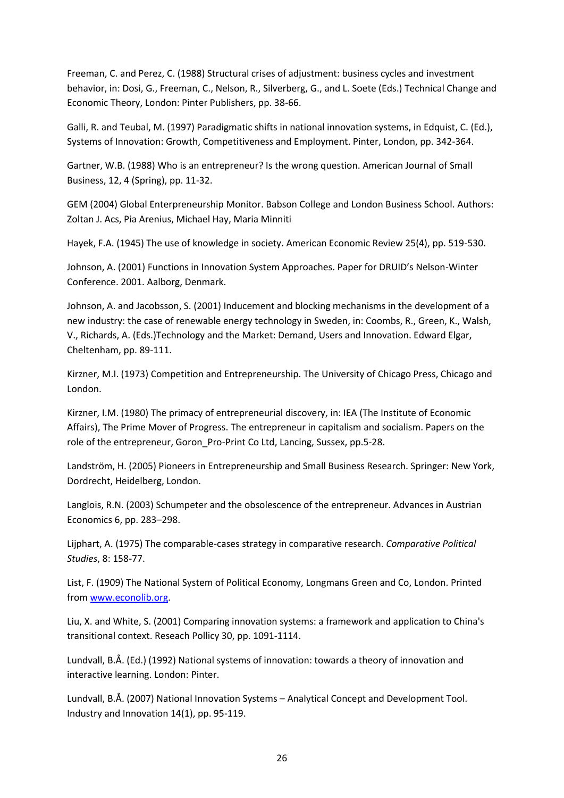Freeman, C. and Perez, C. (1988) Structural crises of adjustment: business cycles and investment behavior, in: Dosi, G., Freeman, C., Nelson, R., Silverberg, G., and L. Soete (Eds.) Technical Change and Economic Theory, London: Pinter Publishers, pp. 38-66.

Galli, R. and Teubal, M. (1997) Paradigmatic shifts in national innovation systems, in Edquist, C. (Ed.), Systems of Innovation: Growth, Competitiveness and Employment. Pinter, London, pp. 342-364.

Gartner, W.B. (1988) Who is an entrepreneur? Is the wrong question. American Journal of Small Business, 12, 4 (Spring), pp. 11-32.

GEM (2004) Global Enterpreneurship Monitor. Babson College and London Business School. Authors: Zoltan J. Acs, Pia Arenius, Michael Hay, Maria Minniti

Hayek, F.A. (1945) The use of knowledge in society. American Economic Review 25(4), pp. 519-530.

Johnson, A. (2001) Functions in Innovation System Approaches. Paper for DRUID's Nelson-Winter Conference. 2001. Aalborg, Denmark.

Johnson, A. and Jacobsson, S. (2001) Inducement and blocking mechanisms in the development of a new industry: the case of renewable energy technology in Sweden, in: Coombs, R., Green, K., Walsh, V., Richards, A. (Eds.)Technology and the Market: Demand, Users and Innovation. Edward Elgar, Cheltenham, pp. 89-111.

Kirzner, M.I. (1973) Competition and Entrepreneurship. The University of Chicago Press, Chicago and London.

Kirzner, I.M. (1980) The primacy of entrepreneurial discovery, in: IEA (The Institute of Economic Affairs), The Prime Mover of Progress. The entrepreneur in capitalism and socialism. Papers on the role of the entrepreneur, Goron Pro-Print Co Ltd, Lancing, Sussex, pp.5-28.

Landström, H. (2005) Pioneers in Entrepreneurship and Small Business Research. Springer: New York, Dordrecht, Heidelberg, London.

Langlois, R.N. (2003) Schumpeter and the obsolescence of the entrepreneur. Advances in Austrian Economics 6, pp. 283–298.

Lijphart, A. (1975) The comparable-cases strategy in comparative research. *Comparative Political Studies*, 8: 158-77.

List, F. (1909) The National System of Political Economy, Longmans Green and Co, London. Printed from [www.econolib.org.](http://www.econolib.org/)

Liu, X. and White, S. (2001) Comparing innovation systems: a framework and application to China's transitional context. Reseach Pollicy 30, pp. 1091-1114.

Lundvall, B.Å. (Ed.) (1992) National systems of innovation: towards a theory of innovation and interactive learning. London: Pinter.

Lundvall, B.Å. (2007) National Innovation Systems – Analytical Concept and Development Tool. Industry and Innovation 14(1), pp. 95-119.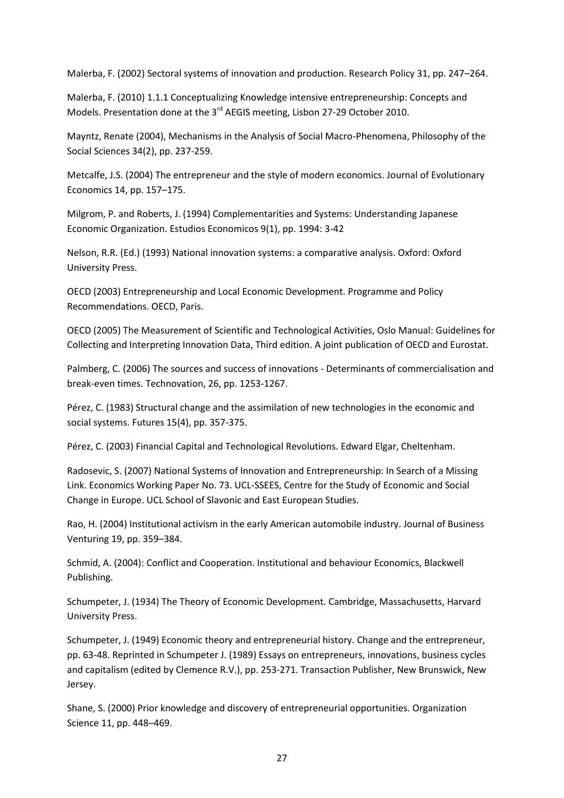Malerba, F. (2002) Sectoral systems of innovation and production. Research Policy 31, pp. 247–264.

Malerba, F. (2010) 1.1.1 Conceptualizing Knowledge intensive entrepreneurship: Concepts and Models. Presentation done at the 3<sup>rd</sup> AEGIS meeting, Lisbon 27-29 October 2010.

Mayntz, Renate (2004), Mechanisms in the Analysis of Social Macro-Phenomena, Philosophy of the Social Sciences 34(2), pp. 237-259.

Metcalfe, J.S. (2004) The entrepreneur and the style of modern economics. Journal of Evolutionary Economics 14, pp. 157–175.

Milgrom, P. and Roberts, J. (1994) Complementarities and Systems: Understanding Japanese Economic Organization. Estudios Economicos 9(1), pp. 1994: 3-42

Nelson, R.R. (Ed.) (1993) National innovation systems: a comparative analysis. Oxford: Oxford University Press.

OECD (2003) Entrepreneurship and Local Economic Development. Programme and Policy Recommendations. OECD, Paris.

OECD (2005) The Measurement of Scientific and Technological Activities, Oslo Manual: Guidelines for Collecting and Interpreting Innovation Data, Third edition. A joint publication of OECD and Eurostat.

Palmberg, C. (2006) The sources and success of innovations - Determinants of commercialisation and break-even times. Technovation, 26, pp. 1253-1267.

Pérez, C. (1983) Structural change and the assimilation of new technologies in the economic and social systems. Futures 15(4), pp. 357-375.

Pérez, C. (2003) Financial Capital and Technological Revolutions. Edward Elgar, Cheltenham.

Radosevic, S. (2007) National Systems of Innovation and Entrepreneurship: In Search of a Missing Link. Economics Working Paper No. 73. UCL-SSEES, Centre for the Study of Economic and Social Change in Europe. UCL School of Slavonic and East European Studies.

Rao, H. (2004) Institutional activism in the early American automobile industry. Journal of Business Venturing 19, pp. 359–384.

Schmid, A. (2004): Conflict and Cooperation. Institutional and behaviour Economics, Blackwell Publishing.

Schumpeter, J. (1934) The Theory of Economic Development. Cambridge, Massachusetts, Harvard University Press.

Schumpeter, J. (1949) Economic theory and entrepreneurial history. Change and the entrepreneur, pp. 63-48. Reprinted in Schumpeter J. (1989) Essays on entrepreneurs, innovations, business cycles and capitalism (edited by Clemence R.V.), pp. 253-271. Transaction Publisher, New Brunswick, New Jersey.

Shane, S. (2000) Prior knowledge and discovery of entrepreneurial opportunities. Organization Science 11, pp. 448–469.